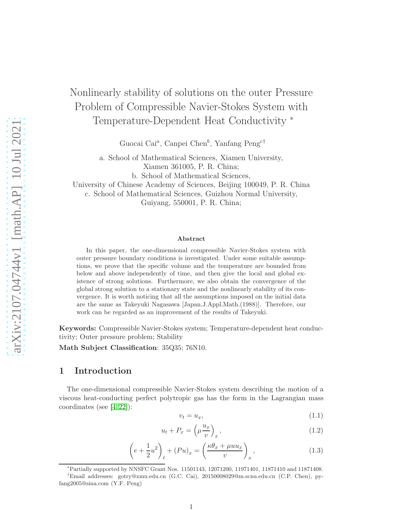# Nonlinearly stability of solutions on the outer Pressure Problem of Compressible Navier-Stokes System with Temperature-Dependent Heat Conductivity <sup>∗</sup>

Guocai Cai<sup>a</sup>, Canpei Chen<sup>b</sup>, Yanfang Peng<sup>c†</sup>

a. School of Mathematical Sciences, Xiamen University, Xiamen 361005, P. R. China; b. School of Mathematical Sciences,

University of Chinese Academy of Sciences, Beijing 100049, P. R. China c. School of Mathematical Sciences, Guizhou Normal University, Guiyang, 550001, P. R. China;

#### Abstract

In this paper, the one-dimensional compressible Navier-Stokes system with outer pressure boundary conditions is investigated. Under some suitable assumptions, we prove that the specific volume and the temperature are bounded from below and above independently of time, and then give the local and global existence of strong solutions. Furthermore, we also obtain the convergence of the global strong solution to a stationary state and the nonlinearly stability of its convergence. It is worth noticing that all the assumptions imposed on the initial data are the same as Takeyuki Nagasawa [Japan.J.Appl.Math.(1988)]. Therefore, our work can be regarded as an improvement of the results of Takeyuki.

Keywords: Compressible Navier-Stokes system; Temperature-dependent heat conductivity; Outer pressure problem; Stability

Math Subject Classification: 35Q35; 76N10.

#### 1 Introduction

The one-dimensional compressible Navier-Stokes system describing the motion of a viscous heat-conducting perfect polytropic gas has the form in the Lagrangian mass coordinates (see [\[4,](#page-22-0) [22\]](#page-23-0)):

<span id="page-0-0"></span>
$$
v_t = u_x,\tag{1.1}
$$

<span id="page-0-2"></span>
$$
u_t + P_x = \left(\mu \frac{u_x}{v}\right)_x,\tag{1.2}
$$

<span id="page-0-1"></span>
$$
\left(e + \frac{1}{2}u^2\right)_t + (Pu)_x = \left(\frac{\kappa\theta_x + \mu uu_x}{v}\right)_x,\tag{1.3}
$$

<sup>∗</sup>Partially supported by NNSFC Grant Nos. 11501143, 12071200, 11971401, 11871410 and 11871408.

<sup>†</sup>Email addresses: gotry@xmu.edu.cn (G.C. Cai), 20150008029@m.scnu.edu.cn (C.P. Chen), pyfang2005@sina.com (Y.F. Peng)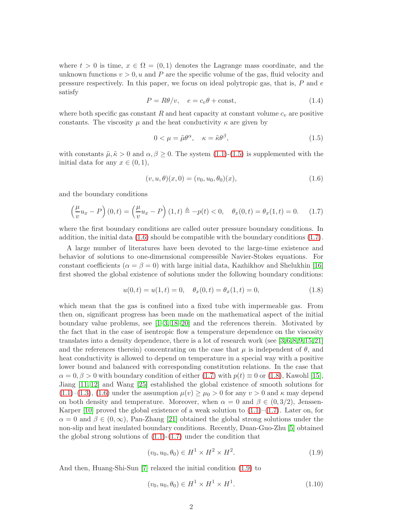where  $t > 0$  is time,  $x \in \Omega = (0, 1)$  denotes the Lagrange mass coordinate, and the unknown functions  $v > 0$ , u and P are the specific volume of the gas, fluid velocity and pressure respectively. In this paper, we focus on ideal polytropic gas, that is, P and e satisfy

$$
P = R\theta/v, \quad e = c_v \theta + \text{const}, \tag{1.4}
$$

where both specific gas constant R and heat capacity at constant volume  $c_v$  are positive constants. The viscosity  $\mu$  and the heat conductivity  $\kappa$  are given by

<span id="page-1-0"></span>
$$
0 < \mu = \tilde{\mu}\theta^{\alpha}, \quad \kappa = \tilde{\kappa}\theta^{\beta}, \tag{1.5}
$$

with constants  $\tilde{\mu}, \tilde{\kappa} > 0$  and  $\alpha, \beta \geq 0$ . The system [\(1.1\)](#page-0-0)-[\(1.5\)](#page-1-0) is supplemented with the initial data for any  $x \in (0,1)$ ,

<span id="page-1-1"></span>
$$
(v, u, \theta)(x, 0) = (v_0, u_0, \theta_0)(x), \tag{1.6}
$$

and the boundary conditions

<span id="page-1-2"></span>
$$
\left(\frac{\mu}{v}u_x - P\right)(0,t) = \left(\frac{\mu}{v}u_x - P\right)(1,t) \triangleq -p(t) < 0, \quad \theta_x(0,t) = \theta_x(1,t) = 0. \tag{1.7}
$$

where the first boundary conditions are called outer pressure boundary conditions. In addition, the initial data  $(1.6)$  should be compatible with the boundary conditions  $(1.7)$ .

A large number of literatures have been devoted to the large-time existence and behavior of solutions to one-dimensional compressible Navier-Stokes equations. For constant coefficients ( $\alpha = \beta = 0$ ) with large initial data, Kazhikhov and Shelukhin [\[16\]](#page-23-1) first showed the global existence of solutions under the following boundary conditions:

<span id="page-1-3"></span>
$$
u(0,t) = u(1,t) = 0, \quad \theta_x(0,t) = \theta_x(1,t) = 0,
$$
\n(1.8)

which mean that the gas is confined into a fixed tube with impermeable gas. From then on, significant progress has been made on the mathematical aspect of the initial boundary value problems, see  $[1-3, 18-20]$  $[1-3, 18-20]$  $[1-3, 18-20]$  and the references therein. Motivated by the fact that in the case of isentropic flow a temperature dependence on the viscosity translates into a density dependence, there is a lot of research work (see [\[3,](#page-22-2)[6,](#page-22-3)[8,](#page-22-4)[9,](#page-22-5)[15,](#page-22-6)[21\]](#page-23-4) and the references therein) concentrating on the case that  $\mu$  is independent of  $\theta$ , and heat conductivity is allowed to depend on temperature in a special way with a positive lower bound and balanced with corresponding constitution relations. In the case that  $\alpha = 0, \beta > 0$  with boundary condition of either [\(1.7\)](#page-1-2) with  $p(t) \equiv 0$  or [\(1.8\)](#page-1-3), Kawohl [\[15\]](#page-22-6), Jiang [\[11,](#page-22-7) [12\]](#page-22-8) and Wang [\[25\]](#page-23-5) established the global existence of smooth solutions for  $(1.1)$ – $(1.3)$ ,  $(1.6)$  under the assumption  $\mu(v) \ge \mu_0 > 0$  for any  $v > 0$  and  $\kappa$  may depend on both density and temperature. Moreover, when  $\alpha = 0$  and  $\beta \in (0, 3/2)$ , Jenssen-Karper [\[10\]](#page-22-9) proved the global existence of a weak solution to  $(1.1)$ – $(1.7)$ . Later on, for  $\alpha = 0$  and  $\beta \in (0, \infty)$ , Pan-Zhang [\[21\]](#page-23-4) obtained the global strong solutions under the non-slip and heat insulated boundary conditions. Recently, Duan-Guo-Zhu [\[5\]](#page-22-10) obtained the global strong solutions of  $(1.1)-(1.7)$  $(1.1)-(1.7)$  under the condition that

<span id="page-1-4"></span>
$$
(v_0, u_0, \theta_0) \in H^1 \times H^2 \times H^2. \tag{1.9}
$$

And then, Huang-Shi-Sun [\[7\]](#page-22-11) relaxed the initial condition [\(1.9\)](#page-1-4) to

$$
(v_0, u_0, \theta_0) \in H^1 \times H^1 \times H^1. \tag{1.10}
$$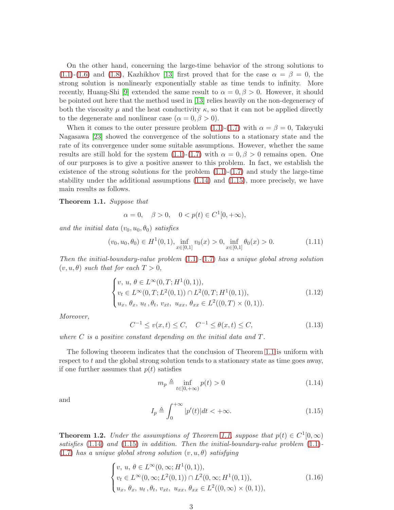On the other hand, concerning the large-time behavior of the strong solutions to  $(1.1)-(1.6)$  $(1.1)-(1.6)$  $(1.1)-(1.6)$  and  $(1.8)$ , Kazhikhov [\[13\]](#page-22-12) first proved that for the case  $\alpha = \beta = 0$ , the strong solution is nonlinearly exponentially stable as time tends to infinity. More recently, Huang-Shi [\[9\]](#page-22-5) extended the same result to  $\alpha = 0, \beta > 0$ . However, it should be pointed out here that the method used in [\[13\]](#page-22-12) relies heavily on the non-degeneracy of both the viscosity  $\mu$  and the heat conductivity  $\kappa$ , so that it can not be applied directly to the degenerate and nonlinear case  $(\alpha = 0, \beta > 0)$ .

When it comes to the outer pressure problem  $(1.1)-(1.7)$  $(1.1)-(1.7)$  with  $\alpha = \beta = 0$ , Takeyuki Nagasawa [\[23\]](#page-23-6) showed the convergence of the solutions to a stationary state and the rate of its convergence under some suitable assumptions. However, whether the same results are still hold for the system  $(1.1)-(1.7)$  $(1.1)-(1.7)$  with  $\alpha = 0, \beta > 0$  remains open. One of our purposes is to give a positive answer to this problem. In fact, we establish the existence of the strong solutions for the problem  $(1.1)-(1.7)$  $(1.1)-(1.7)$  and study the large-time stability under the additional assumptions [\(1.14\)](#page-2-0) and [\(1.15\)](#page-2-1), more precisely, we have main results as follows.

<span id="page-2-2"></span>Theorem 1.1. Suppose that

$$
\alpha = 0, \quad \beta > 0, \quad 0 < p(t) \in C^1[0, +\infty),
$$

and the initial data  $(v_0, u_0, \theta_0)$  satisfies

$$
(v_0, u_0, \theta_0) \in H^1(0, 1), \inf_{x \in [0, 1]} v_0(x) > 0, \inf_{x \in [0, 1]} \theta_0(x) > 0.
$$
 (1.11)

Then the initial-boundary-value problem  $(1.1)-(1.7)$  $(1.1)-(1.7)$  $(1.1)-(1.7)$  has a unique global strong solution  $(v, u, \theta)$  such that for each  $T > 0$ ,

<span id="page-2-4"></span>
$$
\begin{cases} v, u, \theta \in L^{\infty}(0, T; H^{1}(0, 1)), \\ v_t \in L^{\infty}(0, T; L^{2}(0, 1)) \cap L^{2}(0, T; H^{1}(0, 1)), \\ u_x, \theta_x, u_t, \theta_t, v_{xt}, u_{xx}, \theta_{xx} \in L^{2}((0, T) \times (0, 1)). \end{cases}
$$
(1.12)

Moreover,

$$
C^{-1} \le v(x,t) \le C, \quad C^{-1} \le \theta(x,t) \le C,\tag{1.13}
$$

where  $C$  is a positive constant depending on the initial data and  $T$ .

The following theorem indicates that the conclusion of Theorem [1.1](#page-2-2) is uniform with respect to  $t$  and the global strong solution tends to a stationary state as time goes away, if one further assumes that  $p(t)$  satisfies

<span id="page-2-0"></span>
$$
m_p \triangleq \inf_{t \in [0, +\infty)} p(t) > 0
$$
\n(1.14)

and

<span id="page-2-1"></span>
$$
I_p \triangleq \int_0^{+\infty} |p'(t)| dt < +\infty.
$$
 (1.15)

<span id="page-2-3"></span>**Theorem 1.2.** Under the assumptions of Theorem [1.1,](#page-2-2) suppose that  $p(t) \in C^1[0,\infty)$ satisfies  $(1.14)$  and  $(1.15)$  in addition. Then the initial-boundary-value problem  $(1.1)$ -[\(1.7\)](#page-1-2) has a unique global strong solution  $(v, u, \theta)$  satisfying

$$
\begin{cases} v, u, \theta \in L^{\infty}(0, \infty; H^{1}(0, 1)), \\ v_t \in L^{\infty}(0, \infty; L^{2}(0, 1)) \cap L^{2}(0, \infty; H^{1}(0, 1)), \\ u_x, \theta_x, u_t, \theta_t, v_{xt}, u_{xx}, \theta_{xx} \in L^{2}((0, \infty) \times (0, 1)), \end{cases}
$$
(1.16)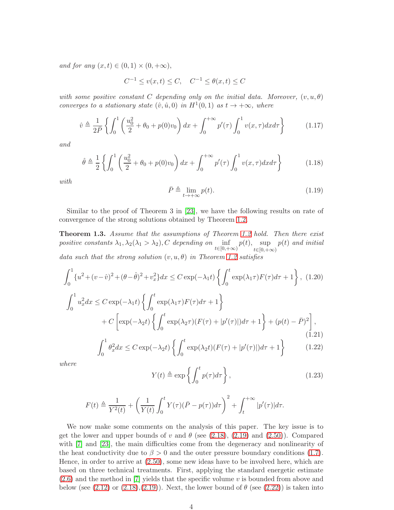and for any  $(x, t) \in (0, 1) \times (0, +\infty)$ ,

$$
C^{-1} \le v(x,t) \le C, \quad C^{-1} \le \theta(x,t) \le C
$$

with some positive constant C depending only on the initial data. Moreover,  $(v, u, \theta)$ converges to a stationary state  $(\hat{v}, \hat{u}, 0)$  in  $H^1(0, 1)$  as  $t \to +\infty$ , where

<span id="page-3-1"></span>
$$
\hat{v} \triangleq \frac{1}{2\bar{P}} \left\{ \int_0^1 \left( \frac{u_0^2}{2} + \theta_0 + p(0)v_0 \right) dx + \int_0^{+\infty} p'(\tau) \int_0^1 v(x,\tau) dx d\tau \right\} \tag{1.17}
$$

and

<span id="page-3-2"></span>
$$
\hat{\theta} \triangleq \frac{1}{2} \left\{ \int_0^1 \left( \frac{u_0^2}{2} + \theta_0 + p(0)v_0 \right) dx + \int_0^{+\infty} p'(\tau) \int_0^1 v(x,\tau) dx d\tau \right\} \tag{1.18}
$$

with

$$
\bar{P} \triangleq \lim_{t \to +\infty} p(t). \tag{1.19}
$$

Similar to the proof of Theorem 3 in [\[23\]](#page-23-6), we have the following results on rate of convergence of the strong solutions obtained by Theorem [1.2.](#page-2-3)

**Theorem 1.3.** Assume that the assumptions of Theorem [1.2](#page-2-3) hold. Then there exist positive constants  $\lambda_1, \lambda_2(\lambda_1 > \lambda_2)$ , C depending on  $\inf_{t\in[0,+\infty)}p(t), \sup_{t\in[0,+\infty)}$  $t\in[0,+\infty)$  $p(t)$  and initial data such that the strong solution  $(v, u, \theta)$  in Theorem [1.2](#page-2-3) satisfies

$$
\int_0^1 \{u^2 + (v - \hat{v})^2 + (\theta - \hat{\theta})^2 + v_x^2\} dx \le C \exp(-\lambda_1 t) \left\{ \int_0^t \exp(\lambda_1 \tau) F(\tau) d\tau + 1 \right\}, (1.20)
$$

$$
\int_0^1 u_x^2 dx \le C \exp(-\lambda_1 t) \left\{ \int_0^t \exp(\lambda_1 \tau) F(\tau) d\tau + 1 \right\}
$$

$$
+ C \left[ \exp(-\lambda_2 t) \left\{ \int_0^t \exp(\lambda_2 \tau) (F(\tau) + |p'(\tau)|) d\tau + 1 \right\} + (p(t) - \bar{P})^2 \right], (1.21)
$$

$$
\int_0^1 \theta_x^2 dx \le C \exp(-\lambda_2 t) \left\{ \int_0^t \exp(\lambda_2 t) (F(\tau) + |p'(\tau)|) d\tau + 1 \right\} \qquad (1.22)
$$

where

<span id="page-3-0"></span>
$$
Y(t) \triangleq \exp\left\{ \int_0^t p(\tau) d\tau \right\},\tag{1.23}
$$

$$
F(t) \triangleq \frac{1}{Y^2(t)} + \left(\frac{1}{Y(t)} \int_0^t Y(\tau) (\bar{P} - p(\tau)) d\tau\right)^2 + \int_t^{+\infty} |p'(\tau)| d\tau.
$$

We now make some comments on the analysis of this paper. The key issue is to get the lower and upper bounds of v and  $\theta$  (see [\(2.18\)](#page-8-0), [\(2.19\)](#page-8-1) and [\(2.50\)](#page-17-0)). Compared with [\[7\]](#page-22-11) and [\[23\]](#page-23-6), the main difficulties come from the degeneracy and nonlinearity of the heat conductivity due to  $\beta > 0$  and the outer pressure boundary conditions [\(1.7\)](#page-1-2). Hence, in order to arrive at [\(2.50\)](#page-17-0), some new ideas have to be involved here, which are based on three technical treatments. First, applying the standard energetic estimate  $(2.6)$  and the method in [\[7\]](#page-22-11) yields that the specific volume v is bounded from above and below (see  $(2.12)$  or  $(2.18),(2.19)$  $(2.18),(2.19)$ ). Next, the lower bound of  $\theta$  (see  $(2.22)$ ) is taken into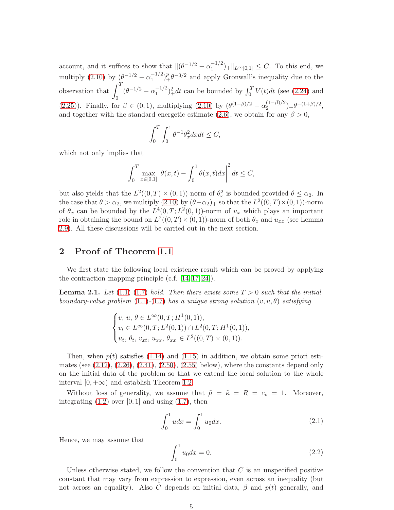account, and it suffices to show that  $\|(\theta^{-1/2} - \alpha_1^{-1/2})\|$  $\binom{-1}{1} + \|L^{\infty}[0,1] \leq C$ . To this end, we multiply  $(2.10)$  by  $(\theta^{-1/2} - \alpha_1^{-1/2})$  $\int_1^{-1/2}$  $\int_1^{p} \theta^{-3/2}$  and apply Gronwall's inequality due to the observation that  $\int_1^T$  $\theta$  $(\theta^{-1/2} - \alpha_1^{-1/2})$  $\int_1^{-1/2}$  $\,)^2 + dt$  can be bounded by  $\int_0^T V(t) dt$  (see [\(2.24\)](#page-9-1) and [\(2.25\)](#page-10-0)). Finally, for  $\beta \in (0,1)$ , multiplying [\(2.10\)](#page-6-1) by  $(\theta^{(1-\beta)/2} - \alpha_2^{(1-\beta)/2})$  ${\theta^{-(1-\beta)/2}}$  +  $\theta^{-(1+\beta)/2}$ , and together with the standard energetic estimate [\(2.6\)](#page-5-0), we obtain for any  $\beta > 0$ ,

$$
\int_0^T \int_0^1 \theta^{-1} \theta_x^2 dx dt \le C,
$$

which not only implies that

$$
\int_0^T \max_{x \in [0,1]} \left| \theta(x,t) - \int_0^1 \theta(x,t) dx \right|^2 dt \le C,
$$

but also yields that the  $L^2((0,T) \times (0,1))$ -norm of  $\theta_x^2$  is bounded provided  $\theta \leq \alpha_2$ . In the case that  $\theta > \alpha_2$ , we multiply  $(2.10)$  by  $(\theta - \alpha_2)_+$  so that the  $L^2((0,T) \times (0,1))$ -norm of  $\theta_x$  can be bounded by the  $L^4(0,T;L^2(0,1))$ -norm of  $u_x$  which plays an important role in obtaining the bound on  $L^2((0,T) \times (0,1))$ -norm of both  $\theta_x$  and  $u_{xx}$  (see Lemma [2.9\)](#page-13-0). All these discussions will be carried out in the next section.

### <span id="page-4-1"></span>2 Proof of Theorem [1.1](#page-2-2)

<span id="page-4-0"></span>We first state the following local existence result which can be proved by applying the contraction mapping principle (c.f.  $[14, 17, 24]$  $[14, 17, 24]$  $[14, 17, 24]$ ).

**Lemma 2.1.** Let  $(1.1)-(1.7)$  $(1.1)-(1.7)$  $(1.1)-(1.7)$  hold. Then there exists some  $T > 0$  such that the initial-boundary-value problem [\(1.1\)](#page-0-0)-[\(1.7\)](#page-1-2) has a unique strong solution  $(v, u, \theta)$  satisfying

$$
\begin{cases} v, u, \theta \in L^{\infty}(0, T; H^{1}(0, 1)), \\ v_t \in L^{\infty}(0, T; L^{2}(0, 1)) \cap L^{2}(0, T; H^{1}(0, 1)), \\ u_t, \theta_t, v_{xt}, u_{xx}, \theta_{xx} \in L^{2}((0, T) \times (0, 1)). \end{cases}
$$

Then, when  $p(t)$  satisfies [\(1.14\)](#page-2-0) and [\(1.15\)](#page-2-1) in addition, we obtain some priori estimates (see  $(2.12)$ ,  $(2.26)$ ,  $(2.41)$ ,  $(2.50)$ ,  $(2.55)$  below), where the constants depend only on the initial data of the problem so that we extend the local solution to the whole interval  $[0, +\infty)$  and establish Theorem [1.2.](#page-2-3)

Without loss of generality, we assume that  $\tilde{\mu} = \tilde{\kappa} = R = c_v = 1$ . Moreover, integrating  $(1.2)$  over  $[0, 1]$  and using  $(1.7)$ , then

$$
\int_0^1 u dx = \int_0^1 u_0 dx.
$$
 (2.1)

Hence, we may assume that

$$
\int_0^1 u_0 dx = 0.
$$
 (2.2)

Unless otherwise stated, we follow the convention that  $C$  is an unspecified positive constant that may vary from expression to expression, even across an inequality (but not across an equality). Also C depends on initial data,  $\beta$  and  $p(t)$  generally, and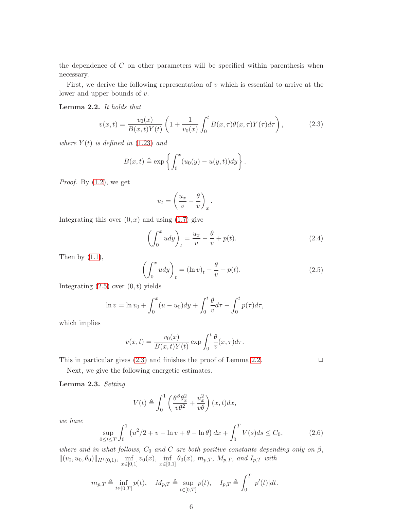the dependence of C on other parameters will be specified within parenthesis when necessary.

<span id="page-5-3"></span>First, we derive the following representation of  $v$  which is essential to arrive at the lower and upper bounds of v.

#### Lemma 2.2. It holds that

<span id="page-5-2"></span>
$$
v(x,t) = \frac{v_0(x)}{B(x,t)Y(t)} \left( 1 + \frac{1}{v_0(x)} \int_0^t B(x,\tau)\theta(x,\tau)Y(\tau)d\tau \right),
$$
 (2.3)

where  $Y(t)$  is defined in  $(1.23)$  and

$$
B(x,t) \triangleq \exp\left\{ \int_0^x (u_0(y) - u(y,t)) dy \right\}.
$$

*Proof.* By  $(1.2)$ , we get

$$
u_t = \left(\frac{u_x}{v} - \frac{\theta}{v}\right)_x.
$$

Integrating this over  $(0, x)$  and using  $(1.7)$  give

<span id="page-5-5"></span>
$$
\left(\int_0^x u dy\right)_t = \frac{u_x}{v} - \frac{\theta}{v} + p(t). \tag{2.4}
$$

Then by  $(1.1)$ ,

<span id="page-5-1"></span>
$$
\left(\int_0^x u dy\right)_t = (\ln v)_t - \frac{\theta}{v} + p(t). \tag{2.5}
$$

Integrating  $(2.5)$  over  $(0, t)$  yields

$$
\ln v = \ln v_0 + \int_0^x (u - u_0) dy + \int_0^t \frac{\theta}{v} d\tau - \int_0^t p(\tau) d\tau,
$$

which implies

$$
v(x,t) = \frac{v_0(x)}{B(x,t)Y(t)} \exp \int_0^t \frac{\theta}{v}(x,\tau)d\tau.
$$

<span id="page-5-4"></span>

This in particular gives  $(2.3)$  and finishes the proof of Lemma [2.2.](#page-5-3)  $\Box$ 

Next, we give the following energetic estimates.

Lemma 2.3. Setting

$$
V(t) \triangleq \int_0^1 \left( \frac{\theta^\beta \theta_x^2}{v \theta^2} + \frac{u_x^2}{v \theta} \right) (x, t) dx,
$$

we have

<span id="page-5-0"></span>
$$
\sup_{0 \le t \le T} \int_0^1 \left( u^2/2 + v - \ln v + \theta - \ln \theta \right) dx + \int_0^T V(s) ds \le C_0,
$$
\n(2.6)

where and in what follows,  $C_0$  and  $C$  are both positive constants depending only on  $\beta$ ,  $||(v_0, u_0, \theta_0)||_{H^1(0,1)}$ ,  $\inf_{x \in [0,1]} v_0(x)$ ,  $\inf_{x \in [0,1]} \theta_0(x)$ ,  $m_{p,T}$ ,  $M_{p,T}$ , and  $I_{p,T}$  with

$$
m_{p,T} \triangleq \inf_{t \in [0,T]} p(t), \quad M_{p,T} \triangleq \sup_{t \in [0,T]} p(t), \quad I_{p,T} \triangleq \int_0^T |p'(t)| dt.
$$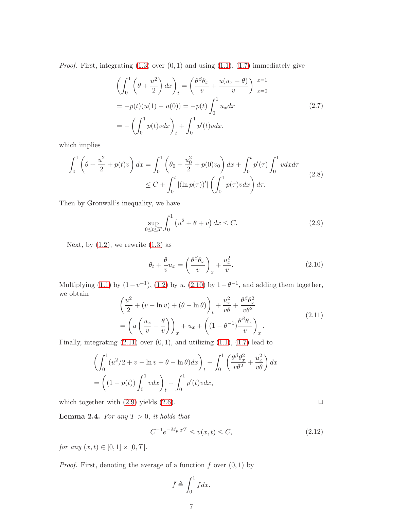*Proof.* First, integrating  $(1.3)$  over  $(0, 1)$  and using  $(1.1)$ ,  $(1.7)$  immediately give

$$
\left(\int_0^1 \left(\theta + \frac{u^2}{2}\right) dx\right)_t = \left(\frac{\theta^\beta \theta_x}{v} + \frac{u(u_x - \theta)}{v}\right)\Big|_{x=0}^{x=1}
$$

$$
= -p(t)(u(1) - u(0)) = -p(t)\int_0^1 u_x dx
$$

$$
= -\left(\int_0^1 p(t)v dx\right)_t + \int_0^1 p'(t)v dx,
$$
\n(2.7)

which implies

<span id="page-6-5"></span>
$$
\int_0^1 \left( \theta + \frac{u^2}{2} + p(t)v \right) dx = \int_0^1 \left( \theta_0 + \frac{u_0^2}{2} + p(0)v_0 \right) dx + \int_0^t p'(\tau) \int_0^1 v dx d\tau
$$
\n
$$
\leq C + \int_0^t |(\ln p(\tau))'| \left( \int_0^1 p(\tau) v dx \right) d\tau.
$$
\n(2.8)

Then by Gronwall's inequality, we have

<span id="page-6-3"></span>
$$
\sup_{0 \le t \le T} \int_0^1 (u^2 + \theta + v) \, dx \le C. \tag{2.9}
$$

Next, by  $(1.2)$ , we rewrite  $(1.3)$  as

<span id="page-6-1"></span>
$$
\theta_t + \frac{\theta}{v} u_x = \left(\frac{\theta^\beta \theta_x}{v}\right)_x + \frac{u_x^2}{v}.\tag{2.10}
$$

Multiplying [\(1.1\)](#page-0-0) by  $(1-v^{-1})$ ,  $(1.2)$  by u,  $(2.10)$  by  $1-\theta^{-1}$ , and adding them together, we obtain  $\frac{1}{2}$ 

<span id="page-6-2"></span>
$$
\left(\frac{u^2}{2} + (v - \ln v) + (\theta - \ln \theta)\right)_t + \frac{u_x^2}{v\theta} + \frac{\theta^{\beta} \theta_x^2}{v\theta^2}
$$
\n
$$
= \left(u\left(\frac{u_x}{v} - \frac{\theta}{v}\right)\right)_x + u_x + \left((1 - \theta^{-1})\frac{\theta^{\beta} \theta_x}{v}\right)_x.
$$
\n(2.11)

Finally, integrating  $(2.11)$  over  $(0, 1)$ , and utilizing  $(1.1)$ ,  $(1.7)$  lead to

$$
\left(\int_0^1 (u^2/2 + v - \ln v + \theta - \ln \theta) dx\right)_t + \int_0^1 \left(\frac{\theta^\beta \theta_x^2}{v \theta^2} + \frac{u_x^2}{v \theta}\right) dx
$$

$$
= \left((1 - p(t)) \int_0^1 v dx\right)_t + \int_0^1 p'(t)v dx,
$$

<span id="page-6-4"></span>which together with  $(2.9)$  yields  $(2.6)$ .  $\Box$ 

**Lemma 2.4.** For any  $T > 0$ , it holds that

<span id="page-6-0"></span>
$$
C^{-1}e^{-M_{p,T}T} \le v(x,t) \le C,\t\t(2.12)
$$

*for any*  $(x, t) \in [0, 1] \times [0, T]$ .

*Proof.* First, denoting the average of a function  $f$  over  $(0, 1)$  by

$$
\bar{f} \triangleq \int_0^1 f dx.
$$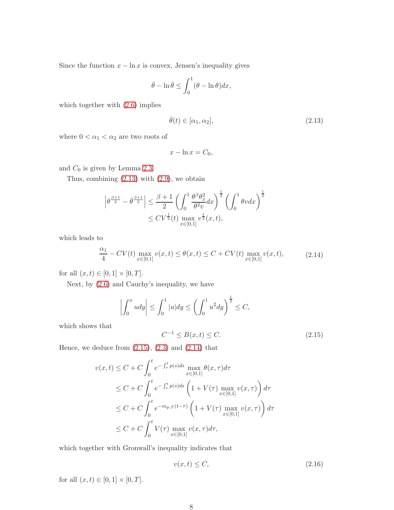Since the function  $x - \ln x$  is convex, Jensen's inequality gives

$$
\bar{\theta} - \ln \bar{\theta} \le \int_0^1 (\theta - \ln \theta) dx,
$$

which together with  $(2.6)$  implies

<span id="page-7-0"></span>
$$
\bar{\theta}(t) \in [\alpha_1, \alpha_2], \tag{2.13}
$$

where  $0<\alpha_1<\alpha_2$  are two roots of

$$
x - \ln x = C_0,
$$

and  $C_0$  is given by Lemma [2.3.](#page-5-4)

Thus, combining  $(2.13)$  with  $(2.9)$ , we obtain

$$
\left|\theta^{\frac{\beta+1}{2}}-\bar{\theta}^{\frac{\beta+1}{2}}\right| \leq \frac{\beta+1}{2} \left(\int_0^1 \frac{\theta^\beta \theta_x^2}{\theta^2 v} dx\right)^{\frac{1}{2}} \left(\int_0^1 \theta v dx\right)^{\frac{1}{2}}\n\leq C V^{\frac{1}{2}}(t) \max_{x\in[0,1]} v^{\frac{1}{2}}(x,t),
$$

which leads to

<span id="page-7-2"></span>
$$
\frac{\alpha_1}{4} - CV(t) \max_{x \in [0,1]} v(x,t) \le \theta(x,t) \le C + CV(t) \max_{x \in [0,1]} v(x,t),
$$
\n(2.14)

for all  $(x, t) \in [0, 1] \times [0, T]$ .

Next, by [\(2.6\)](#page-5-0) and Cauchy's inequality, we have

$$
\left| \int_0^x u dy \right| \le \int_0^1 |u| dy \le \left( \int_0^1 u^2 dy \right)^{\frac{1}{2}} \le C,
$$

which shows that

<span id="page-7-1"></span>
$$
C^{-1} \le B(x, t) \le C. \tag{2.15}
$$

Hence, we deduce from  $(2.15)$ ,  $(2.3)$  and  $(2.14)$  that

$$
v(x,t) \leq C + C \int_0^t e^{-\int_{\tau}^t p(s)ds} \max_{x \in [0,1]} \theta(x,\tau) d\tau
$$
  
\n
$$
\leq C + C \int_0^t e^{-\int_{\tau}^t p(s)ds} \left(1 + V(\tau) \max_{x \in [0,1]} v(x,\tau)\right) d\tau
$$
  
\n
$$
\leq C + C \int_0^t e^{-m_{p,T}(t-\tau)} \left(1 + V(\tau) \max_{x \in [0,1]} v(x,\tau)\right) d\tau
$$
  
\n
$$
\leq C + C \int_0^t V(\tau) \max_{x \in [0,1]} v(x,\tau) d\tau,
$$

which together with Gronwall's inequality indicates that

<span id="page-7-3"></span>
$$
v(x,t) \le C,\tag{2.16}
$$

for all  $(x, t) \in [0, 1] \times [0, T]$ .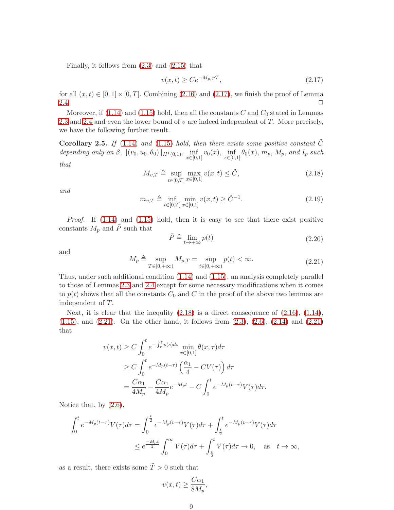Finally, it follows from  $(2.3)$  and  $(2.15)$  that

<span id="page-8-2"></span>
$$
v(x,t) \ge Ce^{-M_{p,T}T},\tag{2.17}
$$

for all  $(x, t) \in [0, 1] \times [0, T]$ . Combining [\(2.16\)](#page-7-3) and [\(2.17\)](#page-8-2), we finish the proof of Lemma  $2.4.$ 

Moreover, if  $(1.14)$  and  $(1.15)$  hold, then all the constants C and  $C_0$  stated in Lemmas [2.3](#page-5-4) and [2.4](#page-6-4) and even the lower bound of  $v$  are indeed independent of  $T$ . More precisely, we have the following further result.

**Corollary 2.5.** If [\(1.14\)](#page-2-0) and [\(1.15\)](#page-2-1) hold, then there exists some positive constant  $\ddot{C}$ depending only on  $\beta$ ,  $\|(v_0, u_0, \theta_0)\|_{H^1(0,1)}$ ,  $\inf_{x \in [0,1]} v_0(x)$ ,  $\inf_{x \in [0,1]} \theta_0(x)$ ,  $m_p$ ,  $M_p$ , and  $I_p$  such that

<span id="page-8-0"></span>
$$
M_{v,T} \triangleq \sup_{t \in [0,T]} \max_{x \in [0,1]} v(x,t) \leq \tilde{C},
$$
\n(2.18)

and

<span id="page-8-1"></span>
$$
m_{v,T} \triangleq \inf_{t \in [0,T]} \min_{x \in [0,1]} v(x,t) \ge \tilde{C}^{-1}.
$$
\n(2.19)

*Proof.* If  $(1.14)$  and  $(1.15)$  hold, then it is easy to see that there exist positive constants  $M_p$  and  $\bar{P}$  such that

$$
\bar{P} \triangleq \lim_{t \to +\infty} p(t) \tag{2.20}
$$

and

<span id="page-8-3"></span>
$$
M_p \triangleq \sup_{T \in [0, +\infty)} M_{p,T} = \sup_{t \in [0, +\infty)} p(t) < \infty. \tag{2.21}
$$

Thus, under such additional condition [\(1.14\)](#page-2-0) and [\(1.15\)](#page-2-1), an analysis completely parallel to those of Lemmas [2.3](#page-5-4) and [2.4](#page-6-4) except for some necessary modifications when it comes to  $p(t)$  shows that all the constants  $C_0$  and C in the proof of the above two lemmas are independent of T.

Next, it is clear that the inequlity  $(2.18)$  is a direct consequence of  $(2.16)$ ,  $(1.14)$ , [\(1.15\)](#page-2-1), and [\(2.21\)](#page-8-3). On the other hand, it follows from [\(2.3\)](#page-5-2), [\(2.6\)](#page-5-0), [\(2.14\)](#page-7-2) and [\(2.21\)](#page-8-3) that

$$
v(x,t) \ge C \int_0^t e^{-\int_\tau^t p(s)ds} \min_{x \in [0,1]} \theta(x,\tau) d\tau
$$
  
\n
$$
\ge C \int_0^t e^{-M_p(t-\tau)} \left(\frac{\alpha_1}{4} - CV(\tau)\right) d\tau
$$
  
\n
$$
= \frac{C\alpha_1}{4M_p} - \frac{C\alpha_1}{4M_p} e^{-M_p t} - C \int_0^t e^{-M_p(t-\tau)} V(\tau) d\tau.
$$

Notice that, by [\(2.6\)](#page-5-0),

$$
\int_0^t e^{-M_p(t-\tau)} V(\tau) d\tau = \int_0^{\frac{t}{2}} e^{-M_p(t-\tau)} V(\tau) d\tau + \int_{\frac{t}{2}}^t e^{-M_p(t-\tau)} V(\tau) d\tau
$$
  

$$
\leq e^{\frac{-M_p t}{2}} \int_0^\infty V(\tau) d\tau + \int_{\frac{t}{2}}^t V(\tau) d\tau \to 0, \text{ as } t \to \infty,
$$

as a result, there exists some  $\tilde{T} > 0$  such that

$$
v(x,t) \ge \frac{C\alpha_1}{8M_p},
$$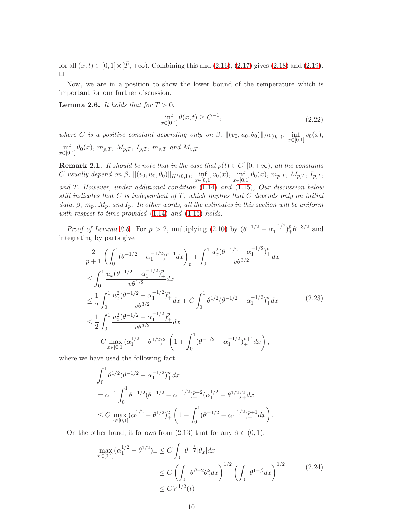for all  $(x, t) \in [0, 1] \times [\tilde{T}, +\infty)$ . Combining this and  $(2.16)$ ,  $(2.17)$  gives  $(2.18)$  and  $(2.19)$ .  $\Box$ 

<span id="page-9-2"></span>Now, we are in a position to show the lower bound of the temperature which is important for our further discussion.

**Lemma 2.6.** It holds that for  $T > 0$ ,

<span id="page-9-0"></span>
$$
\inf_{x \in [0,1]} \theta(x,t) \ge C^{-1},\tag{2.22}
$$

where C is a positive constant depending only on  $\beta$ ,  $\|(v_0, u_0, \theta_0)\|_{H^1(0,1)}$ ,  $\inf_{x \in [0,1]} v_0(x)$ ,  $\inf_{x \in [0,1]} \theta_0(x), m_{p,T}, M_{p,T}, I_{p,T}, m_{v,T}$  and  $M_{v,T}$ .

<span id="page-9-4"></span>**Remark 2.1.** It should be note that in the case that  $p(t) \in C^1[0, +\infty)$ , all the constants C usually depend on  $\beta$ ,  $\|(v_0, u_0, \theta_0)\|_{H^1(0,1)}$ ,  $\inf_{x \in [0,1]} v_0(x)$ ,  $\inf_{x \in [0,1]} \theta_0(x)$ ,  $m_{p,T}$ ,  $M_{p,T}$ ,  $I_{p,T}$ , and T. However, under additional condition [\(1.14\)](#page-2-0) and [\(1.15\)](#page-2-1), Our discussion below still indicates that  $C$  is independent of  $T$ , which implies that  $C$  depends only on initial data,  $\beta$ ,  $m_p$ ,  $M_p$ , and  $I_p$ . In other words, all the estimates in this section will be uniform with respect to time provided  $(1.14)$  and  $(1.15)$  holds.

*Proof of Lemma [2.6.](#page-9-2)* For  $p > 2$ , multiplying  $(2.10)$  by  $(\theta^{-1/2} - \alpha_1^{-1/2})$  $\binom{-1/2}{1}^p_+\theta^{-3/2}$  and integrating by parts give

<span id="page-9-3"></span>
$$
\frac{2}{p+1} \left( \int_0^1 (\theta^{-1/2} - \alpha_1^{-1/2})_+^{p+1} dx \right)_t + \int_0^1 \frac{u_x^2 (\theta^{-1/2} - \alpha_1^{-1/2})_+^p}{v \theta^{3/2}} dx
$$
\n
$$
\leq \int_0^1 \frac{u_x (\theta^{-1/2} - \alpha_1^{-1/2})_+^p}{v \theta^{1/2}} dx
$$
\n
$$
\leq \frac{1}{2} \int_0^1 \frac{u_x^2 (\theta^{-1/2} - \alpha_1^{-1/2})_+^p}{v \theta^{3/2}} dx + C \int_0^1 \theta^{1/2} (\theta^{-1/2} - \alpha_1^{-1/2})_+^p dx \qquad (2.23)
$$
\n
$$
\leq \frac{1}{2} \int_0^1 \frac{u_x^2 (\theta^{-1/2} - \alpha_1^{-1/2})_+^p}{v \theta^{3/2}} dx
$$
\n
$$
+ C \max_{x \in [0,1]} (\alpha_1^{1/2} - \theta^{1/2})_+^2 \left( 1 + \int_0^1 (\theta^{-1/2} - \alpha_1^{-1/2})_+^{p+1} dx \right),
$$
\n(2.24)

where we have used the following fact

$$
\int_0^1 \theta^{1/2} (\theta^{-1/2} - \alpha_1^{-1/2})_+^p dx
$$
  
=  $\alpha_1^{-1} \int_0^1 \theta^{-1/2} (\theta^{-1/2} - \alpha_1^{-1/2})_+^{p-2} (\alpha_1^{1/2} - \theta^{1/2})_+^2 dx$   
 $\leq C \max_{x \in [0,1]} (\alpha_1^{1/2} - \theta^{1/2})_+^2 \left(1 + \int_0^1 (\theta^{-1/2} - \alpha_1^{-1/2})_+^{p+1} dx\right).$ 

On the other hand, it follows from [\(2.13\)](#page-7-0) that for any  $\beta \in (0,1)$ ,

<span id="page-9-1"></span>
$$
\max_{x \in [0,1]} (\alpha_1^{1/2} - \theta^{1/2})_+ \le C \int_0^1 \theta^{-\frac{1}{2}} |\theta_x| dx
$$
  
\n
$$
\le C \left( \int_0^1 \theta^{\beta - 2} \theta_x^2 dx \right)^{1/2} \left( \int_0^1 \theta^{1-\beta} dx \right)^{1/2} \qquad (2.24)
$$
  
\n
$$
\le CV^{1/2}(t)
$$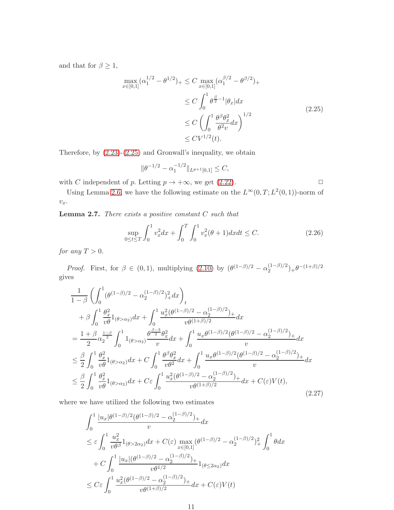and that for  $\beta \geq 1$ ,

<span id="page-10-0"></span>
$$
\max_{x \in [0,1]} (\alpha_1^{1/2} - \theta^{1/2})_+ \le C \max_{x \in [0,1]} (\alpha_1^{\beta/2} - \theta^{\beta/2})_+ \\
\le C \int_0^1 \theta^{\frac{\beta}{2}-1} |\theta_x| dx \\
\le C \left( \int_0^1 \frac{\theta^{\beta} \theta_x^2}{\theta^2 v} dx \right)^{1/2} \\
\le C V^{1/2}(t).
$$
\n(2.25)

Therefore, by [\(2.23\)](#page-9-3)-[\(2.25\)](#page-10-0) and Gronwall's inequality, we obtain

$$
\|\theta^{-1/2} - \alpha_1^{-1/2}\|_{L^{p+1}[0,1]} \le C,
$$

with C independent of p. Letting  $p \to +\infty$ , we get [\(2.22\)](#page-9-0).

<span id="page-10-3"></span>Using Lemma [2.6,](#page-9-2) we have the following estimate on the  $L^{\infty}(0,T; L^2(0,1))$ -norm of  $\upsilon_x.$ 

**Lemma 2.7.** There exists a positive constant  $C$  such that

<span id="page-10-1"></span>
$$
\sup_{0 \le t \le T} \int_0^1 v_x^2 dx + \int_0^T \int_0^1 v_x^2 (\theta + 1) dx dt \le C. \tag{2.26}
$$

for any  $T > 0$ .

*Proof.* First, for  $\beta \in (0,1)$ , multiplying  $(2.10)$  by  $(\theta^{(1-\beta)/2} - \alpha_2^{(1-\beta)/2})$  $\binom{(1-\beta)/2}{2} + \theta^{-(1+\beta)/2}$ gives

<span id="page-10-2"></span>
$$
\frac{1}{1-\beta} \left( \int_0^1 (\theta^{(1-\beta)/2} - \alpha_2^{(1-\beta)/2})_+^2 dx \right)_t \n+ \beta \int_0^1 \frac{\theta_x^2}{v\theta} 1_{(\theta > \alpha_2)} dx + \int_0^1 \frac{u_x^2(\theta^{(1-\beta)/2} - \alpha_2^{(1-\beta)/2})_+}{v\theta^{(1+\beta)/2}} dx \n= \frac{1+\beta_0}{2} \alpha_2^{\frac{1-\beta}{2}} \int_0^1 1_{(\theta > \alpha_2)} \frac{\theta^{\frac{\beta-3}{2}} \theta_x^2}{v} dx + \int_0^1 \frac{u_x \theta^{(1-\beta)/2} (\theta^{(1-\beta)/2} - \alpha_2^{(1-\beta)/2})_+}{v} dx \n\leq \frac{\beta}{2} \int_0^1 \frac{\theta_x^2}{v\theta} 1_{(\theta > \alpha_2)} dx + C \int_0^1 \frac{\theta^{\beta} \theta_x^2}{v\theta^2} dx + \int_0^1 \frac{u_x \theta^{(1-\beta)/2} (\theta^{(1-\beta)/2} - \alpha_2^{(1-\beta)/2})_+}{v} dx \n\leq \frac{\beta}{2} \int_0^1 \frac{\theta_x^2}{v\theta} 1_{(\theta > \alpha_2)} dx + C \varepsilon \int_0^1 \frac{u_x^2 (\theta^{(1-\beta)/2} - \alpha_2^{(1-\beta)/2})_+}{v\theta^{(1+\beta)/2}} dx + C(\varepsilon) V(t),
$$
\n(2.27)

where we have utilized the following two estimates

$$
\int_0^1 \frac{|u_x|\theta^{(1-\beta)/2}(\theta^{(1-\beta)/2} - \alpha_2^{(1-\beta)/2})_+}{v} dx
$$
\n
$$
\leq \varepsilon \int_0^1 \frac{u_x^2}{v\theta^{\beta}} 1_{(\theta > 2\alpha_2)} dx + C(\varepsilon) \max_{x \in [0,1]} (\theta^{(1-\beta)/2} - \alpha_2^{(1-\beta)/2})_+^2 \int_0^1 \theta dx
$$
\n
$$
+ C \int_0^1 \frac{|u_x|(\theta^{(1-\beta)/2} - \alpha_2^{(1-\beta)/2})_+}{v\theta^{1/2}} 1_{(\theta \leq 2\alpha_2)} dx
$$
\n
$$
\leq C\varepsilon \int_0^1 \frac{u_x^2(\theta^{(1-\beta)/2} - \alpha_2^{(1-\beta)/2})_+}{v\theta^{(1+\beta)/2}} dx + C(\varepsilon) V(t)
$$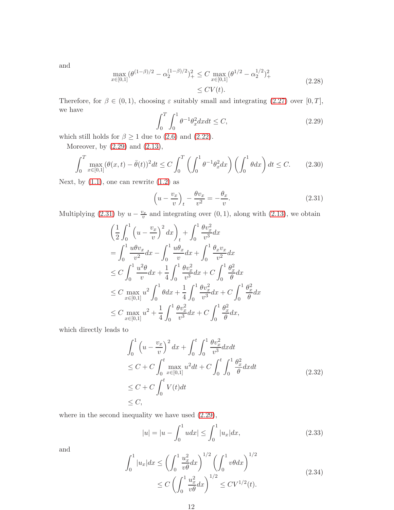and

<span id="page-11-2"></span>
$$
\max_{x \in [0,1]} (\theta^{(1-\beta)/2} - \alpha_2^{(1-\beta)/2})_+^2 \le C \max_{x \in [0,1]} (\theta^{1/2} - \alpha_2^{1/2})_+^2
$$
\n
$$
\le CV(t).
$$
\n(2.28)

Therefore, for  $\beta \in (0,1)$ , choosing  $\varepsilon$  suitably small and integrating  $(2.27)$  over  $[0, T]$ , we have

<span id="page-11-0"></span>
$$
\int_{0}^{T} \int_{0}^{1} \theta^{-1} \theta_{x}^{2} dx dt \le C,
$$
\n(2.29)

which still holds for  $\beta \ge 1$  due to [\(2.6\)](#page-5-0) and [\(2.22\)](#page-9-0).

Moreover, by [\(2.29\)](#page-11-0) and [\(2.13\)](#page-7-0),

$$
\int_0^T \max_{x \in [0,1]} (\theta(x,t) - \bar{\theta}(t))^2 dt \le C \int_0^T \left( \int_0^1 \theta^{-1} \theta_x^2 dx \right) \left( \int_0^1 \theta dx \right) dt \le C. \tag{2.30}
$$

Next, by  $(1.1)$ , one can rewrite  $(1.2)$  as

<span id="page-11-1"></span>
$$
\left(u - \frac{v_x}{v}\right)_t - \frac{\theta v_x}{v^2} = -\frac{\theta_x}{v}.\tag{2.31}
$$

Multiplying [\(2.31\)](#page-11-1) by  $u - \frac{v_x}{v}$  and integrating over (0, 1), along with [\(2.13\)](#page-7-0), we obtain

$$
\left(\frac{1}{2}\int_{0}^{1} \left(u - \frac{v_{x}}{v}\right)^{2} dx\right)_{t} + \int_{0}^{1} \frac{\theta v_{x}^{2}}{v^{3}} dx
$$
\n
$$
= \int_{0}^{1} \frac{u\theta v_{x}}{v^{2}} dx - \int_{0}^{1} \frac{u\theta_{x}}{v} dx + \int_{0}^{1} \frac{\theta_{x} v_{x}}{v^{2}} dx
$$
\n
$$
\leq C \int_{0}^{1} \frac{u^{2}\theta}{v} dx + \frac{1}{4} \int_{0}^{1} \frac{\theta v_{x}^{2}}{v^{3}} dx + C \int_{0}^{1} \frac{\theta_{x}^{2}}{\theta} dx
$$
\n
$$
\leq C \max_{x \in [0,1]} u^{2} \int_{0}^{1} \theta dx + \frac{1}{4} \int_{0}^{1} \frac{\theta v_{x}^{2}}{v^{3}} dx + C \int_{0}^{1} \frac{\theta_{x}^{2}}{\theta} dx
$$
\n
$$
\leq C \max_{x \in [0,1]} u^{2} + \frac{1}{4} \int_{0}^{1} \frac{\theta v_{x}^{2}}{v^{3}} dx + C \int_{0}^{1} \frac{\theta_{x}^{2}}{\theta} dx,
$$

which directly leads to

$$
\int_{0}^{1} \left( u - \frac{v_{x}}{v} \right)^{2} dx + \int_{0}^{t} \int_{0}^{1} \frac{\theta v_{x}^{2}}{v^{3}} dx dt
$$
\n
$$
\leq C + C \int_{0}^{t} \max_{x \in [0,1]} u^{2} dt + C \int_{0}^{t} \int_{0}^{1} \frac{\theta_{x}^{2}}{\theta} dx dt
$$
\n
$$
\leq C + C \int_{0}^{t} V(t) dt
$$
\n
$$
\leq C,
$$
\n(2.32)

where in the second inequality we have used [\(2.29\)](#page-11-0),

<span id="page-11-3"></span>
$$
|u| = |u - \int_0^1 u dx| \le \int_0^1 |u_x| dx,
$$
\n(2.33)

and

$$
\int_0^1 |u_x| dx \le \left(\int_0^1 \frac{u_x^2}{v\theta} dx\right)^{1/2} \left(\int_0^1 v\theta dx\right)^{1/2} \le C \left(\int_0^1 \frac{u_x^2}{v\theta} dx\right)^{1/2} \le CV^{1/2}(t).
$$
\n(2.34)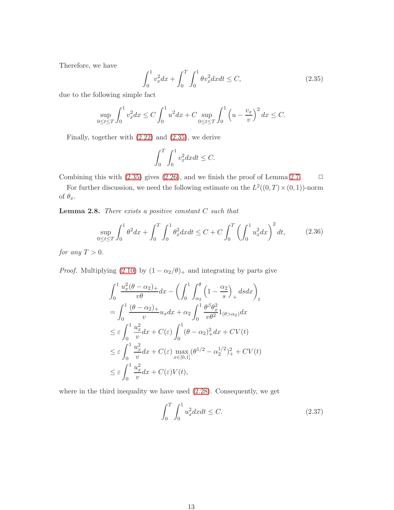Therefore, we have

<span id="page-12-0"></span>
$$
\int_0^1 v_x^2 dx + \int_0^T \int_0^1 \theta v_x^2 dx dt \le C,\tag{2.35}
$$

due to the following simple fact

$$
\sup_{0 \le t \le T} \int_0^1 v_x^2 dx \le C \int_0^1 u^2 dx + C \sup_{0 \le t \le T} \int_0^1 \left( u - \frac{v_x}{v} \right)^2 dx \le C.
$$

Finally, together with [\(2.22\)](#page-9-0) and [\(2.35\)](#page-12-0), we derive

$$
\int_0^T \int_0^1 v_x^2 dx dt \le C.
$$

Combining this with  $(2.35)$  gives  $(2.26)$ , and we finish the proof of Lemma [2.7.](#page-10-3)  $\Box$ 

For further discussion, we need the following estimate on the  $L^2((0,T)\times(0,1))$ -norm of  $\theta_x$ .

**Lemma 2.8.** There exists a positive constant  $C$  such that

<span id="page-12-1"></span>
$$
\sup_{0 \le t \le T} \int_0^1 \theta^2 dx + \int_0^T \int_0^1 \theta_x^2 dx dt \le C + C \int_0^T \left( \int_0^1 u_x^2 dx \right)^2 dt, \tag{2.36}
$$

for any  $T > 0$ .

*Proof.* Multiplying [\(2.10\)](#page-6-1) by  $(1 - \alpha_2/\theta)_+$  and integrating by parts give

$$
\int_0^1 \frac{u_x^2(\theta - \alpha_2)_+}{v\theta} dx - \left(\int_0^1 \int_{\alpha_2}^{\theta} \left(1 - \frac{\alpha_2}{s}\right)_+ ds dx\right)_t
$$
  
\n
$$
= \int_0^1 \frac{(\theta - \alpha_2)_+}{v} u_x dx + \alpha_2 \int_0^1 \frac{\theta^{\beta} \theta_x^2}{v\theta^2} 1_{(\theta > \alpha_2)} dx
$$
  
\n
$$
\leq \varepsilon \int_0^1 \frac{u_x^2}{v} dx + C(\varepsilon) \int_0^1 (\theta - \alpha_2)_+^2 dx + CV(t)
$$
  
\n
$$
\leq \varepsilon \int_0^1 \frac{u_x^2}{v} dx + C(\varepsilon) \max_{x \in [0,1]} (\theta^{1/2} - \alpha_2^{1/2})_+^2 + CV(t)
$$
  
\n
$$
\leq \varepsilon \int_0^1 \frac{u_x^2}{v} dx + C(\varepsilon) V(t),
$$

where in the third inequality we have used [\(2.28\)](#page-11-2). Consequently, we get

<span id="page-12-2"></span>
$$
\int_{0}^{T} \int_{0}^{1} u_{x}^{2} dx dt \le C.
$$
 (2.37)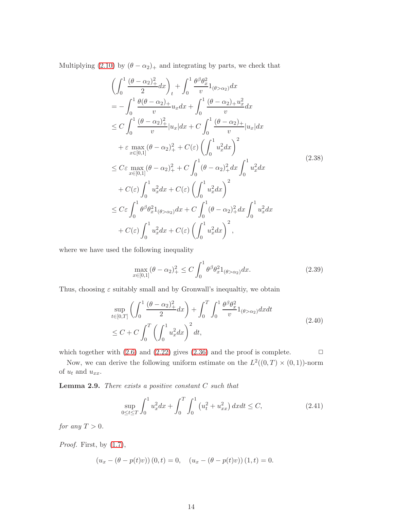Multiplying [\(2.10\)](#page-6-1) by  $(\theta - \alpha_2)_+$  and integrating by parts, we check that

$$
\left(\int_{0}^{1} \frac{(\theta - \alpha_{2})_{+}^{2}}{2} dx\right)_{t} + \int_{0}^{1} \frac{\theta_{0} \theta_{x}^{2}}{v} 1_{(\theta > \alpha_{2})} dx \n= -\int_{0}^{1} \frac{\theta(\theta - \alpha_{2})_{+}}{v} u_{x} dx + \int_{0}^{1} \frac{(\theta - \alpha_{2})_{+} u_{x}^{2}}{v} dx \n\le C \int_{0}^{1} \frac{(\theta - \alpha_{2})_{+}^{2}}{v} |u_{x}| dx + C \int_{0}^{1} \frac{(\theta - \alpha_{2})_{+}}{v} |u_{x}| dx \n+ \varepsilon \max_{x \in [0,1]} (\theta - \alpha_{2})_{+}^{2} + C(\varepsilon) \left(\int_{0}^{1} u_{x}^{2} dx\right)^{2} \n\le C \varepsilon \max_{x \in [0,1]} (\theta - \alpha_{2})_{+}^{2} + C \int_{0}^{1} (\theta - \alpha_{2})_{+}^{2} dx \int_{0}^{1} u_{x}^{2} dx \n+ C(\varepsilon) \int_{0}^{1} u_{x}^{2} dx + C(\varepsilon) \left(\int_{0}^{1} u_{x}^{2} dx\right)^{2} \n\le C \varepsilon \int_{0}^{1} \theta_{0} \theta_{x}^{2} 1_{(\theta > \alpha_{2})} dx + C \int_{0}^{1} (\theta - \alpha_{2})_{+}^{2} dx \int_{0}^{1} u_{x}^{2} dx \n+ C(\varepsilon) \int_{0}^{1} u_{x}^{2} dx + C(\varepsilon) \left(\int_{0}^{1} u_{x}^{2} dx\right)^{2},
$$
\n(2.38)

where we have used the following inequality

$$
\max_{x \in [0,1]} (\theta - \alpha_2)_+^2 \le C \int_0^1 \theta^\beta \theta_x^2 1_{(\theta > \alpha_2)} dx.
$$
 (2.39)

Thus, choosing  $\varepsilon$  suitably small and by Gronwall's inequaltiy, we obtain

<span id="page-13-2"></span>
$$
\sup_{t \in [0,T]} \left( \int_0^1 \frac{(\theta - \alpha_2)_+^2}{2} dx \right) + \int_0^T \int_0^1 \frac{\theta^\beta \theta_x^2}{v} 1_{(\theta > \alpha_2)} dx dt
$$
\n
$$
\le C + C \int_0^T \left( \int_0^1 u_x^2 dx \right)^2 dt,
$$
\n(2.40)

which together with  $(2.6)$  and  $(2.22)$  gives  $(2.36)$  and the proof is complete.  $\Box$ 

Now, we can derive the following uniform estimate on the  $L^2((0,T) \times (0,1))$ -norm of  $u_t$  and  $u_{xx}$ .

**Lemma 2.9.** There exists a positive constant  $C$  such that

<span id="page-13-1"></span><span id="page-13-0"></span>
$$
\sup_{0 \le t \le T} \int_0^1 u_x^2 dx + \int_0^T \int_0^1 (u_t^2 + u_{xx}^2) dx dt \le C,
$$
\n(2.41)

for any  $T > 0$ .

*Proof.* First, by  $(1.7)$ ,

$$
(u_x - (\theta - p(t)v)) (0, t) = 0, \quad (u_x - (\theta - p(t)v)) (1, t) = 0.
$$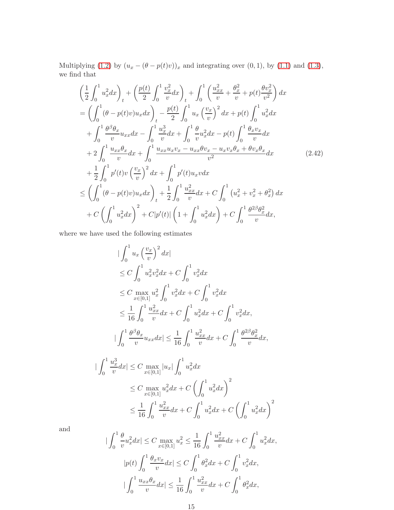Multiplying [\(1.2\)](#page-0-2) by  $(u_x - (\theta - p(t)v))_x$  and integrating over (0, 1), by [\(1.1\)](#page-0-0) and [\(1.3\)](#page-0-1), we find that

<span id="page-14-0"></span>
$$
\left(\frac{1}{2}\int_{0}^{1}u_{x}^{2}dx\right)_{t} + \left(\frac{p(t)}{2}\int_{0}^{1}\frac{v_{x}^{2}}{v}dx\right)_{t} + \int_{0}^{1}\left(\frac{u_{xx}^{2}}{v} + \frac{\theta_{x}^{2}}{v} + p(t)\frac{\theta v_{x}^{2}}{v^{2}}\right)dx
$$
\n
$$
= \left(\int_{0}^{1}(\theta - p(t)v)u_{x}dx\right)_{t} - \frac{p(t)}{2}\int_{0}^{1}u_{x}\left(\frac{v_{x}}{v}\right)^{2}dx + p(t)\int_{0}^{1}u_{x}^{2}dx
$$
\n
$$
+ \int_{0}^{1}\frac{\theta^{\beta}\theta_{x}}{v}u_{xx}dx - \int_{0}^{1}\frac{u_{x}^{3}}{v}dx + \int_{0}^{1}\frac{\theta_{x}^{2}}{v}u_{x}^{2}dx - p(t)\int_{0}^{1}\frac{\theta_{x}v_{x}}{v}dx
$$
\n
$$
+ 2\int_{0}^{1}\frac{u_{xx}\theta_{x}}{v}dx + \int_{0}^{1}\frac{u_{xx}u_{x}v_{x} - u_{xx}\theta v_{x} - u_{x}v_{x}\theta_{x} + \theta v_{x}\theta_{x}}{v^{2}}dx
$$
\n
$$
+ \frac{1}{2}\int_{0}^{1}p'(t)v\left(\frac{v_{x}}{v}\right)^{2}dx + \int_{0}^{1}p'(t)u_{x}vdx
$$
\n
$$
\leq \left(\int_{0}^{1}(\theta - p(t)v)u_{x}dx\right)_{t} + \frac{1}{2}\int_{0}^{1}\frac{u_{xx}^{2}}{v}dx + C\int_{0}^{1}\left(u_{x}^{2} + v_{x}^{2} + \theta_{x}^{2}\right)dx
$$
\n
$$
+ C\left(\int_{0}^{1}u_{x}^{2}dx\right)^{2} + C|p'(t)|\left(1 + \int_{0}^{1}u_{x}^{2}dx\right) + C\int_{0}^{1}\frac{\theta^{2\beta}\theta_{x}^{2}}{v}dx,
$$
\n(2.42)

where we have used the following estimates

$$
\begin{split}\n&|\int_{0}^{1} u_{x} \left(\frac{v_{x}}{v}\right)^{2} dx| \\
&\leq C \int_{0}^{1} u_{x}^{2} v_{x}^{2} dx + C \int_{0}^{1} v_{x}^{2} dx \\
&\leq C \max_{x \in [0,1]} u_{x}^{2} \int_{0}^{1} v_{x}^{2} dx + C \int_{0}^{1} v_{x}^{2} dx \\
&\leq \frac{1}{16} \int_{0}^{1} \frac{u_{xx}^{2}}{v} dx + C \int_{0}^{1} u_{x}^{2} dx + C \int_{0}^{1} v_{x}^{2} dx, \\
&|\int_{0}^{1} \frac{\theta^{\beta} \theta_{x}}{v} u_{xx} dx| \leq \frac{1}{16} \int_{0}^{1} \frac{u_{xx}^{2}}{v} dx + C \int_{0}^{1} \frac{\theta^{2\beta} \theta_{x}^{2}}{v} dx, \\
&|\int_{0}^{1} \frac{u_{x}^{3}}{v} dx| \leq C \max_{x \in [0,1]} |u_{x}| \int_{0}^{1} u_{x}^{2} dx \\
&\leq C \max_{x \in [0,1]} u_{x}^{2} dx + C \left(\int_{0}^{1} u_{x}^{2} dx\right)^{2} \\
&\leq \frac{1}{16} \int_{0}^{1} \frac{u_{xx}^{2}}{v} dx + C \int_{0}^{1} u_{x}^{2} dx + C \left(\int_{0}^{1} u_{x}^{2} dx\right)^{2}\n\end{split}
$$

and

|

$$
\int_0^1 \frac{\theta}{v} u_x^2 dx \le C \max_{x \in [0,1]} u_x^2 \le \frac{1}{16} \int_0^1 \frac{u_{xx}^2}{v} dx + C \int_0^1 u_x^2 dx,
$$
  

$$
|p(t) \int_0^1 \frac{\theta_x v_x}{v} dx \le C \int_0^1 \theta_x^2 dx + C \int_0^1 v_x^2 dx,
$$
  

$$
|\int_0^1 \frac{u_{xx} \theta_x}{v} dx| \le \frac{1}{16} \int_0^1 \frac{u_{xx}^2}{v} dx + C \int_0^1 \theta_x^2 dx,
$$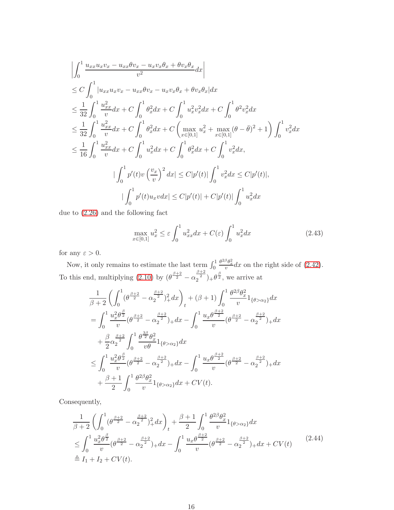$$
\begin{split}\n&\left|\int_{0}^{1} \frac{u_{xx}u_{x}v_{x} - u_{xx}\theta v_{x} - u_{x}v_{x}\theta_{x} + \theta v_{x}\theta_{x}}{v^{2}} dx\right| \\
&\leq C \int_{0}^{1} |u_{xx}u_{x}v_{x} - u_{xx}\theta v_{x} - u_{x}v_{x}\theta_{x} + \theta v_{x}\theta_{x}| dx \\
&\leq \frac{1}{32} \int_{0}^{1} \frac{u_{xx}^{2}}{v} dx + C \int_{0}^{1} \theta_{x}^{2} dx + C \int_{0}^{1} u_{x}^{2}v_{x}^{2} dx + C \int_{0}^{1} \theta^{2}v_{x}^{2} dx \\
&\leq \frac{1}{32} \int_{0}^{1} \frac{u_{xx}^{2}}{v} dx + C \int_{0}^{1} \theta_{x}^{2} dx + C \left(\max_{x \in [0,1]} u_{x}^{2} + \max_{x \in [0,1]} (\theta - \bar{\theta})^{2} + 1\right) \int_{0}^{1} v_{x}^{2} dx \\
&\leq \frac{1}{16} \int_{0}^{1} \frac{u_{xx}^{2}}{v} dx + C \int_{0}^{1} u_{x}^{2} dx + C \int_{0}^{1} \theta_{x}^{2} dx + C \int_{0}^{1} v_{x}^{2} dx, \\
&\quad \qquad \qquad \left| \int_{0}^{1} p'(t)v\left(\frac{v_{x}}{v}\right)^{2} dx \right| \leq C|p'(t)| \int_{0}^{1} v_{x}^{2} dx \leq C|p'(t)|, \\
&\quad \qquad \left| \int_{0}^{1} p'(t)u_{x}v dx \right| \leq C|p'(t)| + C|p'(t)| \int_{0}^{1} u_{x}^{2} dx\n\end{split}
$$

due to [\(2.26\)](#page-10-1) and the following fact

<span id="page-15-1"></span>
$$
\max_{x \in [0,1]} u_x^2 \le \varepsilon \int_0^1 u_{xx}^2 dx + C(\varepsilon) \int_0^1 u_x^2 dx \tag{2.43}
$$

for any  $\varepsilon > 0$ .

Now, it only remains to estimate the last term  $\int_0^1$  $\frac{\theta^{2\beta}\theta_x^2}{v}dx$  on the right side of [\(2.42\)](#page-14-0). To this end, multiplying [\(2.10\)](#page-6-1) by  $(\theta^{\frac{\beta+2}{2}} - \alpha_2^{\frac{\beta+2}{2}})_+\theta^{\frac{\beta}{2}}$ , we arrive at

$$
\frac{1}{\beta+2} \left( \int_0^1 (\theta^{\frac{\beta+2}{2}} - \alpha_2^{\frac{\beta+2}{2}})_+^2 dx \right)_t + (\beta+1) \int_0^1 \frac{\theta^{2\beta} \theta_x^2}{v} 1_{\{\theta > \alpha_2\}} dx \n= \int_0^1 \frac{u_x^2 \theta^{\frac{\beta}{2}}}{v} (\theta^{\frac{\beta+2}{2}} - \alpha_2^{\frac{\beta+2}{2}})_+ dx - \int_0^1 \frac{u_x \theta^{\frac{\beta+2}{2}}}{v} (\theta^{\frac{\beta+2}{2}} - \alpha_2^{\frac{\beta+2}{2}})_+ dx \n+ \frac{\beta}{2} \alpha_2^{\frac{\beta+2}{2}} \int_0^1 \frac{\theta^{\frac{3\beta}{2}} \theta_x^2}{v \theta} 1_{\{\theta > \alpha_2\}} dx \n\leq \int_0^1 \frac{u_x^2 \theta^{\frac{\beta}{2}}}{v} (\theta^{\frac{\beta+2}{2}} - \alpha_2^{\frac{\beta+2}{2}})_+ dx - \int_0^1 \frac{u_x \theta^{\frac{\beta+2}{2}}}{v} (\theta^{\frac{\beta+2}{2}} - \alpha_2^{\frac{\beta+2}{2}})_+ dx \n+ \frac{\beta+1}{2} \int_0^1 \frac{\theta^{2\beta} \theta_x^2}{v} 1_{\{\theta > \alpha_2\}} dx + CV(t).
$$

Consequently,

<span id="page-15-0"></span>
$$
\frac{1}{\beta+2} \left( \int_0^1 (\theta^{\frac{\beta+2}{2}} - \alpha_2^{\frac{\beta+2}{2}})_+^2 dx \right)_t + \frac{\beta+1}{2} \int_0^1 \frac{\theta^{2\beta} \theta_x^2}{v} 1_{\{\theta > \alpha_2\}} dx
$$
\n
$$
\leq \int_0^1 \frac{u_x^2 \theta_x^{\frac{\beta}{2}}}{v} (\theta^{\frac{\beta+2}{2}} - \alpha_2^{\frac{\beta+2}{2}})_+ dx - \int_0^1 \frac{u_x \theta^{\frac{\beta+2}{2}}}{v} (\theta^{\frac{\beta+2}{2}} - \alpha_2^{\frac{\beta+2}{2}})_+ dx + CV(t)
$$
\n
$$
\stackrel{\triangle}{=} I_1 + I_2 + CV(t).
$$
\n(2.44)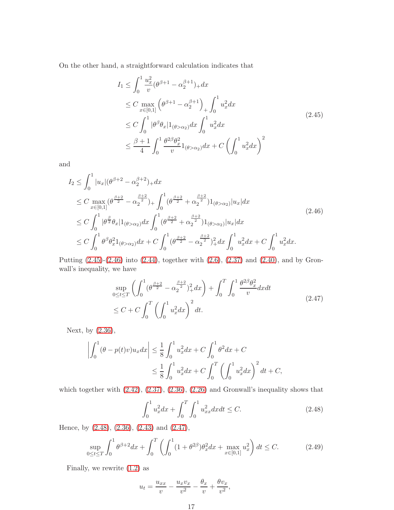On the other hand, a straightforward calculation indicates that

<span id="page-16-0"></span>
$$
I_{1} \leq \int_{0}^{1} \frac{u_{x}^{2}}{v} (\theta^{\beta+1} - \alpha_{2}^{\beta+1})_{+} dx
$$
  
\n
$$
\leq C \max_{x \in [0,1]} \left( \theta^{\beta+1} - \alpha_{2}^{\beta+1} \right)_{+} \int_{0}^{1} u_{x}^{2} dx
$$
  
\n
$$
\leq C \int_{0}^{1} |\theta^{\beta} \theta_{x}| 1_{(\theta > \alpha_{2})} dx \int_{0}^{1} u_{x}^{2} dx
$$
  
\n
$$
\leq \frac{\beta+1}{4} \int_{0}^{1} \frac{\theta^{2\beta} \theta_{x}^{2}}{v} 1_{(\theta > \alpha_{2})} dx + C \left( \int_{0}^{1} u_{x}^{2} dx \right)^{2}
$$
\n(2.45)

and

<span id="page-16-1"></span>
$$
I_2 \leq \int_0^1 |u_x| (\theta^{\beta+2} - \alpha_2^{\beta+2})_+ dx
$$
  
\n
$$
\leq C \max_{x \in [0,1]} (\theta^{\frac{\beta+2}{2}} - \alpha_2^{\frac{\beta+2}{2}})_+ \int_0^1 (\theta^{\frac{\beta+2}{2}} + \alpha_2^{\frac{\beta+2}{2}}) 1_{(\theta > \alpha_2)} |u_x| dx
$$
  
\n
$$
\leq C \int_0^1 |\theta^{\frac{\beta}{2}} \theta_x| 1_{(\theta > \alpha_2)} dx \int_0^1 (\theta^{\frac{\beta+2}{2}} + \alpha_2^{\frac{\beta+2}{2}}) 1_{(\theta > \alpha_2)} |u_x| dx
$$
  
\n
$$
\leq C \int_0^1 \theta^{\beta} \theta_x^2 1_{(\theta > \alpha_2)} dx + C \int_0^1 (\theta^{\frac{\beta+2}{2}} - \alpha_2^{\frac{\beta+2}{2}})_+^2 dx \int_0^1 u_x^2 dx + C \int_0^1 u_x^2 dx.
$$
\n(2.46)

Putting [\(2.45\)](#page-16-0)-[\(2.46\)](#page-16-1) into [\(2.44\)](#page-15-0), together with [\(2.6\)](#page-5-0), [\(2.37\)](#page-12-2) and [\(2.40\)](#page-13-2), and by Gronwall's inequality, we have

<span id="page-16-3"></span>
$$
\sup_{0 \le t \le T} \left( \int_0^1 (\theta^{\frac{\beta+2}{2}} - \alpha_2^{\frac{\beta+2}{2}})_+^2 dx \right) + \int_0^T \int_0^1 \frac{\theta^{2\beta} \theta_x^2}{v} dx dt
$$
\n
$$
\le C + C \int_0^T \left( \int_0^1 u_x^2 dx \right)^2 dt.
$$
\n(2.47)

Next, by [\(2.36\)](#page-12-1),

$$
\left| \int_0^1 (\theta - p(t)v) u_x dx \right| \le \frac{1}{8} \int_0^1 u_x^2 dx + C \int_0^1 \theta^2 dx + C
$$
  

$$
\le \frac{1}{8} \int_0^1 u_x^2 dx + C \int_0^T \left( \int_0^1 u_x^2 dx \right)^2 dt + C,
$$

which together with  $(2.42)$ ,  $(2.37)$ ,  $(2.36)$ ,  $(2.26)$  and Gronwall's inequality shows that

<span id="page-16-2"></span>
$$
\int_0^1 u_x^2 dx + \int_0^T \int_0^1 u_{xx}^2 dx dt \le C. \tag{2.48}
$$

Hence, by [\(2.48\)](#page-16-2), [\(2.36\)](#page-12-1), [\(2.43\)](#page-15-1) and [\(2.47\)](#page-16-3),

<span id="page-16-4"></span>
$$
\sup_{0 \le t \le T} \int_0^1 \theta^{\beta+2} dx + \int_0^T \left( \int_0^1 (1 + \theta^{2\beta}) \theta_x^2 dx + \max_{x \in [0,1]} u_x^2 \right) dt \le C. \tag{2.49}
$$

Finally, we rewrite [\(1.2\)](#page-0-2) as

$$
u_t = \frac{u_{xx}}{v} - \frac{u_x v_x}{v^2} - \frac{\theta_x}{v} + \frac{\theta v_x}{v^2},
$$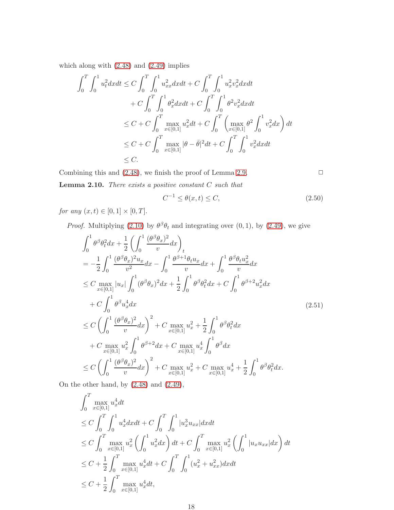which along with [\(2.48\)](#page-16-2) and [\(2.49\)](#page-16-4) implies

$$
\int_{0}^{T} \int_{0}^{1} u_{t}^{2} dxdt \leq C \int_{0}^{T} \int_{0}^{1} u_{xx}^{2} dxdt + C \int_{0}^{T} \int_{0}^{1} u_{x}^{2} v_{x}^{2} dxdt \n+ C \int_{0}^{T} \int_{0}^{1} \theta_{x}^{2} dxdt + C \int_{0}^{T} \int_{0}^{1} \theta_{x}^{2} v_{x}^{2} dxdt \n\leq C + C \int_{0}^{T} \max_{x \in [0,1]} u_{x}^{2} dt + C \int_{0}^{T} \left( \max_{x \in [0,1]} \theta_{x}^{2} \int_{0}^{1} v_{x}^{2} dx \right) dt \n\leq C + C \int_{0}^{T} \max_{x \in [0,1]} |\theta - \bar{\theta}|^{2} dt + C \int_{0}^{T} \int_{0}^{1} v_{x}^{2} dxdt \n\leq C.
$$

<span id="page-17-2"></span>Combining this and  $(2.48)$ , we finish the proof of Lemma [2.9.](#page-13-0)  $\Box$ 

**Lemma 2.10.** There exists a positive constant  $C$  such that

<span id="page-17-0"></span>
$$
C^{-1} \le \theta(x, t) \le C,\tag{2.50}
$$

*for any*  $(x, t) \in [0, 1] \times [0, T]$ .

*Proof.* Multiplying [\(2.10\)](#page-6-1) by  $\theta^{\beta} \theta_t$  and integrating over (0, 1), by [\(2.49\)](#page-16-4), we give

<span id="page-17-1"></span>
$$
\int_{0}^{1} \theta^{\beta} \theta_{t}^{2} dx + \frac{1}{2} \left( \int_{0}^{1} \frac{(\theta^{\beta} \theta_{x})^{2}}{v} dx \right)_{t}
$$
\n
$$
= -\frac{1}{2} \int_{0}^{1} \frac{(\theta^{\beta} \theta_{x})^{2} u_{x}}{v^{2}} dx - \int_{0}^{1} \frac{\theta^{\beta+1} \theta_{t} u_{x}}{v} dx + \int_{0}^{1} \frac{\theta^{\beta} \theta_{t} u_{x}^{2}}{v} dx
$$
\n
$$
\leq C \max_{x \in [0,1]} |u_{x}| \int_{0}^{1} (\theta^{\beta} \theta_{x})^{2} dx + \frac{1}{2} \int_{0}^{1} \theta^{\beta} \theta_{t}^{2} dx + C \int_{0}^{1} \theta^{\beta+2} u_{x}^{2} dx
$$
\n
$$
+ C \int_{0}^{1} \theta^{\beta} u_{x}^{4} dx \qquad (2.51)
$$
\n
$$
\leq C \left( \int_{0}^{1} \frac{(\theta^{\beta} \theta_{x})^{2}}{v} dx \right)^{2} + C \max_{x \in [0,1]} u_{x}^{2} + \frac{1}{2} \int_{0}^{1} \theta^{\beta} \theta_{t}^{2} dx
$$
\n
$$
+ C \max_{x \in [0,1]} u_{x}^{2} \int_{0}^{1} \theta^{\beta+2} dx + C \max_{x \in [0,1]} u_{x}^{4} \int_{0}^{1} \theta^{\beta} dx
$$
\n
$$
\leq C \left( \int_{0}^{1} \frac{(\theta^{\beta} \theta_{x})^{2}}{v} dx \right)^{2} + C \max_{x \in [0,1]} u_{x}^{2} + C \max_{x \in [0,1]} u_{x}^{4} + \frac{1}{2} \int_{0}^{1} \theta^{\beta} \theta_{t}^{2} dx.
$$

On the other hand, by [\(2.48\)](#page-16-2) and [\(2.49\)](#page-16-4),

$$
\int_{0}^{T} \max_{x \in [0,1]} u_{x}^{4} dt
$$
\n
$$
\leq C \int_{0}^{T} \int_{0}^{1} u_{x}^{4} dx dt + C \int_{0}^{T} \int_{0}^{1} |u_{x}^{3} u_{xx}| dx dt
$$
\n
$$
\leq C \int_{0}^{T} \max_{x \in [0,1]} u_{x}^{2} \left( \int_{0}^{1} u_{x}^{2} dx \right) dt + C \int_{0}^{T} \max_{x \in [0,1]} u_{x}^{2} \left( \int_{0}^{1} |u_{x} u_{xx}| dx \right) dt
$$
\n
$$
\leq C + \frac{1}{2} \int_{0}^{T} \max_{x \in [0,1]} u_{x}^{4} dt + C \int_{0}^{T} \int_{0}^{1} (u_{x}^{2} + u_{xx}^{2}) dx dt
$$
\n
$$
\leq C + \frac{1}{2} \int_{0}^{T} \max_{x \in [0,1]} u_{x}^{4} dt,
$$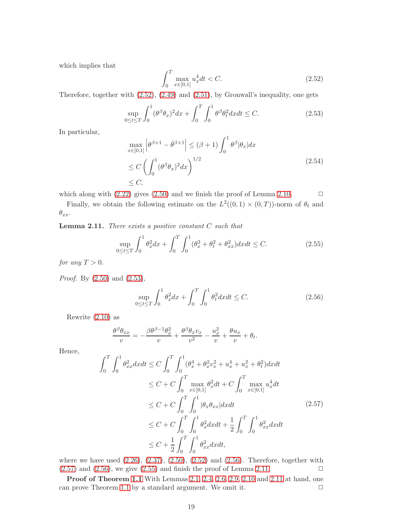which implies that

<span id="page-18-1"></span>
$$
\int_{0}^{T} \max_{x \in [0,1]} u_x^4 dt < C. \tag{2.52}
$$

Therefore, together with [\(2.52\)](#page-18-1), [\(2.49\)](#page-16-4) and [\(2.51\)](#page-17-1), by Gronwall's inequality, one gets

<span id="page-18-2"></span>
$$
\sup_{0 \le t \le T} \int_0^1 (\theta^\beta \theta_x)^2 dx + \int_0^T \int_0^1 \theta^\beta \theta_t^2 dx dt \le C. \tag{2.53}
$$

In particular,

$$
\max_{x \in [0,1]} \left| \theta^{\beta+1} - \bar{\theta}^{\beta+1} \right| \leq (\beta+1) \int_0^1 \theta^{\beta} |\theta_x| dx
$$
  
\n
$$
\leq C \left( \int_0^1 (\theta^{\beta} \theta_x)^2 dx \right)^{1/2}
$$
  
\n
$$
\leq C,
$$
\n(2.54)

which along with  $(2.22)$  gives  $(2.50)$  and we finish the proof of Lemma [2.10.](#page-17-2)  $\Box$ 

<span id="page-18-5"></span>Finally, we obtain the following estimate on the  $L^2((0,1) \times (0,T))$ -norm of  $\theta_t$  and  $\theta_{xx}$ .

**Lemma 2.11.** There exists a positive constant  $C$  such that

<span id="page-18-0"></span>
$$
\sup_{0 \le t \le T} \int_0^1 \theta_x^2 dx + \int_0^T \int_0^1 (\theta_x^2 + \theta_t^2 + \theta_{xx}^2) dx dt \le C. \tag{2.55}
$$

for any  $T > 0$ .

Proof. By [\(2.50\)](#page-17-0) and [\(2.53\)](#page-18-2),

<span id="page-18-3"></span>
$$
\sup_{0 \le t \le T} \int_0^1 \theta_x^2 dx + \int_0^T \int_0^1 \theta_t^2 dx dt \le C. \tag{2.56}
$$

Rewrite [\(2.10\)](#page-6-1) as

$$
\frac{\theta^{\beta}\theta_{xx}}{v} = -\frac{\beta\theta^{\beta-1}\theta_x^2}{v} + \frac{\theta^{\beta}\theta_x v_x}{v^2} - \frac{u_x^2}{v} + \frac{\theta u_x}{v} + \theta_t.
$$

Hence,

<span id="page-18-4"></span>
$$
\int_{0}^{T} \int_{0}^{1} \theta_{xx}^{2} dxdt \leq C \int_{0}^{T} \int_{0}^{1} (\theta_{x}^{4} + \theta_{x}^{2} v_{x}^{2} + u_{x}^{4} + u_{x}^{2} + \theta_{t}^{2}) dxdt
$$
  
\n
$$
\leq C + C \int_{0}^{T} \max_{x \in [0,1]} \theta_{x}^{2} dt + C \int_{0}^{T} \max_{x \in [0,1]} u_{x}^{4} dt
$$
  
\n
$$
\leq C + C \int_{0}^{T} \int_{0}^{1} |\theta_{x} \theta_{xx}| dxdt
$$
  
\n
$$
\leq C + C \int_{0}^{T} \int_{0}^{1} \theta_{x}^{2} dxdt + \frac{1}{2} \int_{0}^{T} \int_{0}^{1} \theta_{xx}^{2} dxdt
$$
  
\n
$$
\leq C + \frac{1}{2} \int_{0}^{T} \int_{0}^{1} \theta_{xx}^{2} dxdt,
$$
  
\n(2.57)

where we have used  $(2.26)$ ,  $(2.37)$ ,  $(2.50)$ ,  $(2.52)$  and  $(2.56)$ . Therefore, together with  $(2.57)$  and  $(2.56)$ , we give  $(2.55)$  and finish the proof of Lemma [2.11.](#page-18-5)

Proof of Theorem [1.1](#page-2-2) With Lemmas [2.1,](#page-4-0) [2.4,](#page-6-4) [2.6,](#page-9-2) [2.9,](#page-13-0) [2.10](#page-17-2) and [2.11](#page-18-5) at hand, one can prove Theorem [1.1](#page-2-2) by a standard argument. We omit it.  $\Box$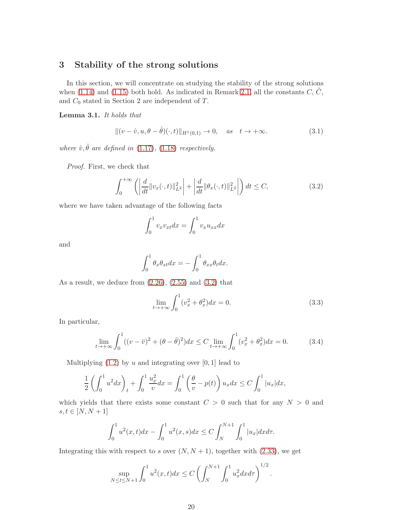## 3 Stability of the strong solutions

In this section, we will concentrate on studying the stability of the strong solutions when [\(1.14\)](#page-2-0) and [\(1.15\)](#page-2-1) both hold. As indicated in Remark [2.1,](#page-9-4) all the constants  $C, \tilde{C}$ , and  $C_0$  stated in Section 2 are independent of  $T$ .

<span id="page-19-4"></span>Lemma 3.1. It holds that

<span id="page-19-3"></span>
$$
\|(v-\hat{v},u,\theta-\hat{\theta})(\cdot,t)\|_{H^1(0,1)} \to 0, \quad \text{as} \quad t \to +\infty. \tag{3.1}
$$

where  $\hat{v}, \hat{\theta}$  are defined in [\(1.17\)](#page-3-1), [\(1.18\)](#page-3-2) respectively.

Proof. First, we check that

<span id="page-19-0"></span>
$$
\int_0^{+\infty} \left( \left| \frac{d}{dt} ||v_x(\cdot, t)||_{L^2}^2 \right| + \left| \frac{d}{dt} ||\theta_x(\cdot, t)||_{L^2}^2 \right| \right) dt \le C,
$$
\n(3.2)

where we have taken advantage of the following facts

$$
\int_0^1 v_x v_{xt} dx = \int_0^1 v_x u_{xx} dx
$$

and

$$
\int_0^1 \theta_x \theta_{xt} dx = -\int_0^1 \theta_{xx} \theta_t dx.
$$

As a result, we deduce from  $(2.26)$ ,  $(2.55)$  and  $(3.2)$  that

<span id="page-19-1"></span>
$$
\lim_{t \to +\infty} \int_0^1 (v_x^2 + \theta_x^2) dx = 0.
$$
\n(3.3)

In particular,

<span id="page-19-2"></span>
$$
\lim_{t \to +\infty} \int_0^1 ((v - \bar{v})^2 + (\theta - \bar{\theta})^2) dx \le C \lim_{t \to +\infty} \int_0^1 (v_x^2 + \theta_x^2) dx = 0.
$$
 (3.4)

Multiplying  $(1.2)$  by u and integrating over  $[0, 1]$  lead to

$$
\frac{1}{2} \left( \int_0^1 u^2 dx \right)_t + \int_0^1 \frac{u_x^2}{v} dx = \int_0^1 \left( \frac{\theta}{v} - p(t) \right) u_x dx \le C \int_0^1 |u_x| dx,
$$

which yields that there exists some constant  $C > 0$  such that for any  $N > 0$  and  $s, t \in [N, N + 1]$ 

$$
\int_0^1 u^2(x,t)dx - \int_0^1 u^2(x,s)dx \le C \int_N^{N+1} \int_0^1 |u_x| dx dx.
$$

Integrating this with respect to s over  $(N, N + 1)$ , together with  $(2.33)$ , we get

$$
\sup_{N \le t \le N+1} \int_0^1 u^2(x,t) dx \le C \left( \int_N^{N+1} \int_0^1 u_x^2 dx dr \right)^{1/2}.
$$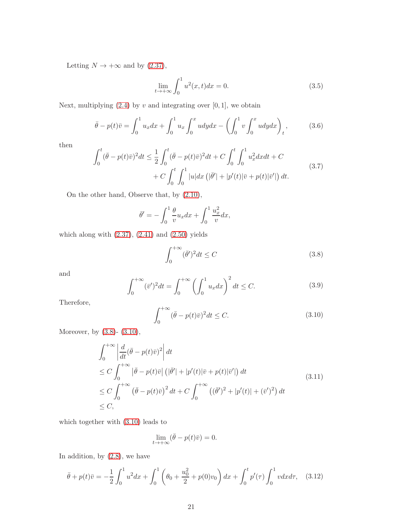Letting  $N \to +\infty$  and by [\(2.37\)](#page-12-2),

<span id="page-20-2"></span>
$$
\lim_{t \to +\infty} \int_0^1 u^2(x, t) dx = 0.
$$
\n(3.5)

Next, multiplying  $(2.4)$  by v and integrating over  $[0, 1]$ , we obtain

$$
\bar{\theta} - p(t)\bar{v} = \int_0^1 u_x dx + \int_0^1 u_x \int_0^x u dy dx - \left(\int_0^1 v \int_0^x u dy dx\right)_t, \tag{3.6}
$$

then

$$
\int_0^t (\bar{\theta} - p(t)\bar{v})^2 dt \le \frac{1}{2} \int_0^t (\bar{\theta} - p(t)\bar{v})^2 dt + C \int_0^t \int_0^1 u_x^2 dx dt + C + C \int_0^t \int_0^1 |u| dx \left( |\bar{\theta}'| + |p'(t)|\bar{v} + p(t)|\bar{v}'| \right) dt.
$$
\n(3.7)

On the other hand, Observe that, by [\(2.10\)](#page-6-1),

$$
\bar{\theta}' = -\int_0^1 \frac{\theta}{v} u_x dx + \int_0^1 \frac{u_x^2}{v} dx,
$$

which along with  $(2.37)$ ,  $(2.41)$  and  $(2.50)$  yields

<span id="page-20-0"></span>
$$
\int_0^{+\infty} (\bar{\theta}')^2 dt \le C \tag{3.8}
$$

and

$$
\int_0^{+\infty} (\bar{v}')^2 dt = \int_0^{+\infty} \left( \int_0^1 u_x dx \right)^2 dt \le C.
$$
 (3.9)

Therefore,

<span id="page-20-1"></span>
$$
\int_0^{+\infty} (\bar{\theta} - p(t)\bar{v})^2 dt \le C.
$$
\n(3.10)

Moreover, by [\(3.8\)](#page-20-0)- [\(3.10\)](#page-20-1),

$$
\int_0^{+\infty} \left| \frac{d}{dt} (\bar{\theta} - p(t)\bar{v})^2 \right| dt
$$
\n
$$
\leq C \int_0^{+\infty} \left| \bar{\theta} - p(t)\bar{v} \right| (|\bar{\theta}'| + |p'(t)|\bar{v} + p(t)|\bar{v}'|) dt
$$
\n
$$
\leq C \int_0^{+\infty} (\bar{\theta} - p(t)\bar{v})^2 dt + C \int_0^{+\infty} ((\bar{\theta}')^2 + |p'(t)| + (\bar{v}')^2) dt
$$
\n
$$
\leq C,
$$
\n(3.11)

which together with [\(3.10\)](#page-20-1) leads to

$$
\lim_{t \to +\infty} (\bar{\theta} - p(t)\bar{v}) = 0.
$$

In addition, by [\(2.8\)](#page-6-5), we have

<span id="page-20-3"></span>
$$
\bar{\theta} + p(t)\bar{v} = -\frac{1}{2} \int_0^1 u^2 dx + \int_0^1 \left(\theta_0 + \frac{u_0^2}{2} + p(0)v_0\right) dx + \int_0^t p'(\tau) \int_0^1 v dx d\tau, \quad (3.12)
$$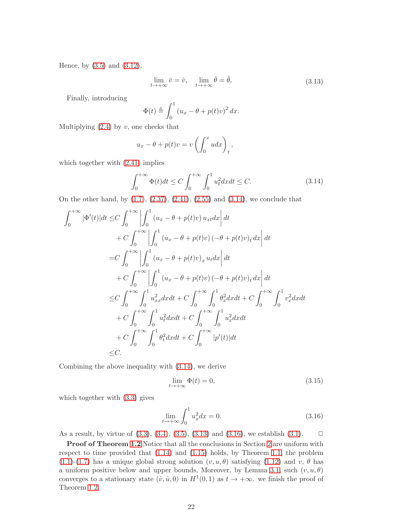Hence, by [\(3.5\)](#page-20-2) and [\(3.12\)](#page-20-3),

<span id="page-21-1"></span>
$$
\lim_{t \to +\infty} \bar{v} = \hat{v}, \quad \lim_{t \to +\infty} \bar{\theta} = \hat{\theta}.
$$
\n(3.13)

Finally, introducing

$$
\Phi(t) \triangleq \int_0^1 (u_x - \theta + p(t)v)^2 dx.
$$

Multiplying  $(2.4)$  by  $v$ , one checks that

$$
u_x - \theta + p(t)v = v \left( \int_0^x u dx \right)_t,
$$

which together with  $(2.41)$  implies

<span id="page-21-0"></span>
$$
\int_0^{+\infty} \Phi(t)dt \le C \int_0^{+\infty} \int_0^1 u_t^2 dxdt \le C. \tag{3.14}
$$

On the other hand, by  $(1.7)$ ,  $(2.37)$ ,  $(2.41)$ ,  $(2.55)$  and  $(3.14)$ , we conclude that

$$
\int_{0}^{+\infty} |\Phi'(t)|dt \leq C \int_{0}^{+\infty} \left| \int_{0}^{1} (u_x - \theta + p(t)v) u_{xt} dx \right| dt \n+ C \int_{0}^{+\infty} \left| \int_{0}^{1} (u_x - \theta + p(t)v) (-\theta + p(t)v)_t dx \right| dt \n= C \int_{0}^{+\infty} \left| \int_{0}^{1} (u_x - \theta + p(t)v)_x u_t dx \right| dt \n+ C \int_{0}^{+\infty} \left| \int_{0}^{1} (u_x - \theta + p(t)v) (-\theta + p(t)v)_t dx \right| dt \n\leq C \int_{0}^{+\infty} \int_{0}^{1} u_{xx}^2 dx dt + C \int_{0}^{+\infty} \int_{0}^{1} \theta_x^2 dx dt + C \int_{0}^{+\infty} \int_{0}^{1} v_x^2 dx dt \n+ C \int_{0}^{+\infty} \int_{0}^{1} u_t^2 dx dt + C \int_{0}^{+\infty} \int_{0}^{1} u_x^2 dx dt \n+ C \int_{0}^{+\infty} \int_{0}^{1} \theta_t^2 dx dt + C \int_{0}^{+\infty} |p'(t)| dt \n\leq C.
$$

Combining the above inequality with [\(3.14\)](#page-21-0), we derive

$$
\lim_{t \to +\infty} \Phi(t) = 0,\tag{3.15}
$$

which together with [\(3.3\)](#page-19-1) gives

<span id="page-21-2"></span>
$$
\lim_{t \to +\infty} \int_0^1 u_x^2 dx = 0.
$$
\n(3.16)

As a result, by virtue of  $(3.3), (3.4), (3.5), (3.13)$  $(3.3), (3.4), (3.5), (3.13)$  $(3.3), (3.4), (3.5), (3.13)$  $(3.3), (3.4), (3.5), (3.13)$  $(3.3), (3.4), (3.5), (3.13)$  $(3.3), (3.4), (3.5), (3.13)$  and  $(3.16),$  we establish  $(3.1).$   $\Box$ 

Proof of Theorem [1.2](#page-2-3) Notice that all the conclusions in Section [2](#page-4-1) are uniform with respect to time provided that [\(1.14\)](#page-2-0) and [\(1.15\)](#page-2-1) holds, by Theorem [1.1,](#page-2-2) the problem  $(1.1)-(1.7)$  $(1.1)-(1.7)$  $(1.1)-(1.7)$  has a unique global strong solution  $(v, u, \theta)$  satisfying  $(1.12)$  and v,  $\theta$  has a uniform positive below and upper bounds, Moreover, by Lemma [3.1,](#page-19-4) such  $(v, u, \theta)$ converges to a stationary state  $(\hat{v}, \hat{u}, 0)$  in  $H^1(0, 1)$  as  $t \to +\infty$ . we finish the proof of Theorem [1.2.](#page-2-3)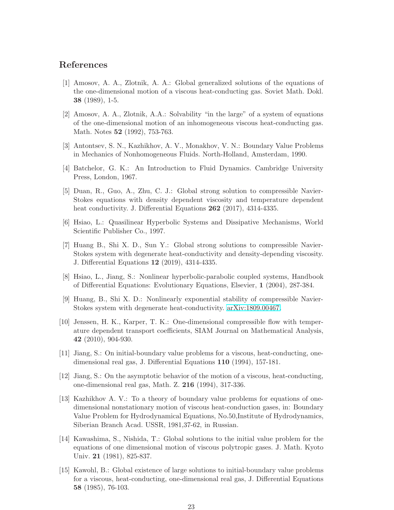#### <span id="page-22-1"></span>References

- [1] Amosov, A. A., Zlotnik, A. A.: Global generalized solutions of the equations of the one-dimensional motion of a viscous heat-conducting gas. Soviet Math. Dokl. 38 (1989), 1-5.
- [2] Amosov, A. A., Zlotnik, A.A.: Solvability "in the large" of a system of equations of the one-dimensional motion of an inhomogeneous viscous heat-conducting gas. Math. Notes 52 (1992), 753-763.
- <span id="page-22-2"></span><span id="page-22-0"></span>[3] Antontsev, S. N., Kazhikhov, A. V., Monakhov, V. N.: Boundary Value Problems in Mechanics of Nonhomogeneous Fluids. North-Holland, Amsterdam, 1990.
- <span id="page-22-10"></span>[4] Batchelor, G. K.: An Introduction to Fluid Dynamics. Cambridge University Press, London, 1967.
- [5] Duan, R., Guo, A., Zhu, C. J.: Global strong solution to compressible Navier-Stokes equations with density dependent viscosity and temperature dependent heat conductivity. J. Differential Equations 262 (2017), 4314-4335.
- <span id="page-22-11"></span><span id="page-22-3"></span>[6] Hsiao, L.: Quasilinear Hyperbolic Systems and Dissipative Mechanisms, World Scientific Publisher Co., 1997.
- [7] Huang B., Shi X. D., Sun Y.: Global strong solutions to compressible Navier-Stokes system with degenerate heat-conductivity and density-depending viscosity. J. Differential Equations 12 (2019), 4314-4335.
- <span id="page-22-4"></span>[8] Hsiao, L., Jiang, S.: Nonlinear hyperbolic-parabolic coupled systems, Handbook of Differential Equations: Evolutionary Equations, Elsevier, 1 (2004), 287-384.
- <span id="page-22-5"></span>[9] Huang, B., Shi X. D.: Nonlinearly exponential stability of compressible Navier-Stokes system with degenerate heat-conductivity. [arXiv:1809.00467.](http://arxiv.org/abs/1809.00467)
- <span id="page-22-9"></span>[10] Jenssen, H. K., Karper, T. K.: One-dimensional compressible flow with temperature dependent transport coefficients, SIAM Journal on Mathematical Analysis, 42 (2010), 904-930.
- <span id="page-22-7"></span>[11] Jiang, S.: On initial-boundary value problems for a viscous, heat-conducting, onedimensional real gas, J. Differential Equations 110 (1994), 157-181.
- <span id="page-22-8"></span>[12] Jiang, S.: On the asymptotic behavior of the motion of a viscous, heat-conducting, one-dimensional real gas, Math. Z. 216 (1994), 317-336.
- <span id="page-22-12"></span>[13] Kazhikhov A. V.: To a theory of boundary value problems for equations of onedimensional nonstationary motion of viscous heat-conduction gases, in: Boundary Value Problem for Hydrodynamical Equations, No.50,Institute of Hydrodynamics, Siberian Branch Acad. USSR, 1981,37-62, in Russian.
- <span id="page-22-13"></span>[14] Kawashima, S., Nishida, T.: Global solutions to the initial value problem for the equations of one dimensional motion of viscous polytropic gases. J. Math. Kyoto Univ. 21 (1981), 825-837.
- <span id="page-22-6"></span>[15] Kawohl, B.: Global existence of large solutions to initial-boundary value problems for a viscous, heat-conducting, one-dimensional real gas, J. Differential Equations 58 (1985), 76-103.